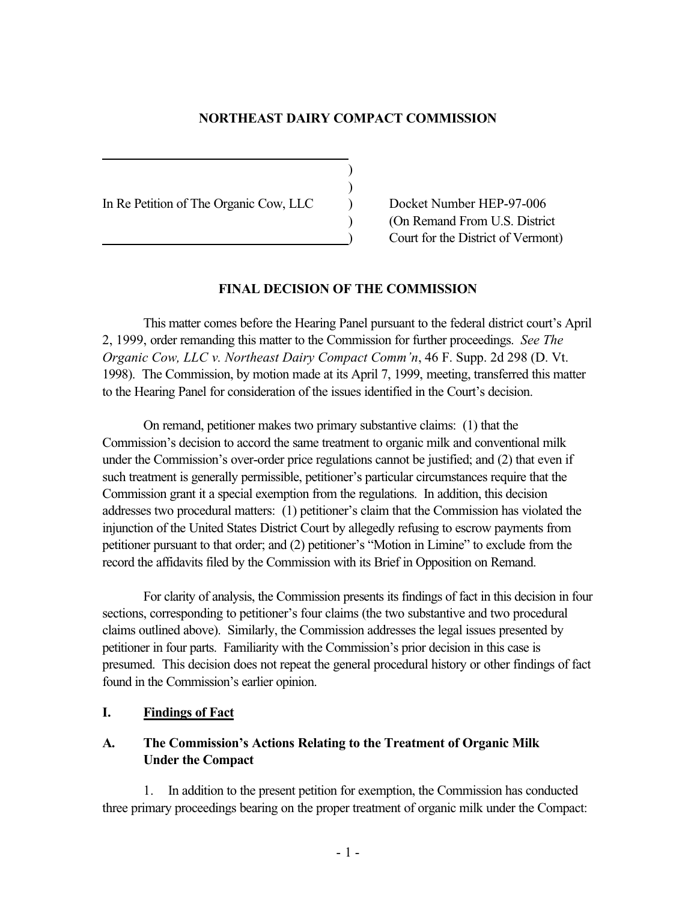### **NORTHEAST DAIRY COMPACT COMMISSION**

) )

In Re Petition of The Organic Cow, LLC Docket Number HEP-97-006

l

) (On Remand From U.S. District ) Court for the District of Vermont)

#### **FINAL DECISION OF THE COMMISSION**

This matter comes before the Hearing Panel pursuant to the federal district court's April 2, 1999, order remanding this matter to the Commission for further proceedings. *See The Organic Cow, LLC v. Northeast Dairy Compact Comm'n*, 46 F. Supp. 2d 298 (D. Vt. 1998). The Commission, by motion made at its April 7, 1999, meeting, transferred this matter to the Hearing Panel for consideration of the issues identified in the Court's decision.

On remand, petitioner makes two primary substantive claims: (1) that the Commission's decision to accord the same treatment to organic milk and conventional milk under the Commission's over-order price regulations cannot be justified; and (2) that even if such treatment is generally permissible, petitioner's particular circumstances require that the Commission grant it a special exemption from the regulations. In addition, this decision addresses two procedural matters: (1) petitioner's claim that the Commission has violated the injunction of the United States District Court by allegedly refusing to escrow payments from petitioner pursuant to that order; and (2) petitioner's "Motion in Limine" to exclude from the record the affidavits filed by the Commission with its Brief in Opposition on Remand.

For clarity of analysis, the Commission presents its findings of fact in this decision in four sections, corresponding to petitioner's four claims (the two substantive and two procedural claims outlined above). Similarly, the Commission addresses the legal issues presented by petitioner in four parts. Familiarity with the Commission's prior decision in this case is presumed. This decision does not repeat the general procedural history or other findings of fact found in the Commission's earlier opinion.

### **I. Findings of Fact**

## **A. The Commission's Actions Relating to the Treatment of Organic Milk Under the Compact**

1. In addition to the present petition for exemption, the Commission has conducted three primary proceedings bearing on the proper treatment of organic milk under the Compact: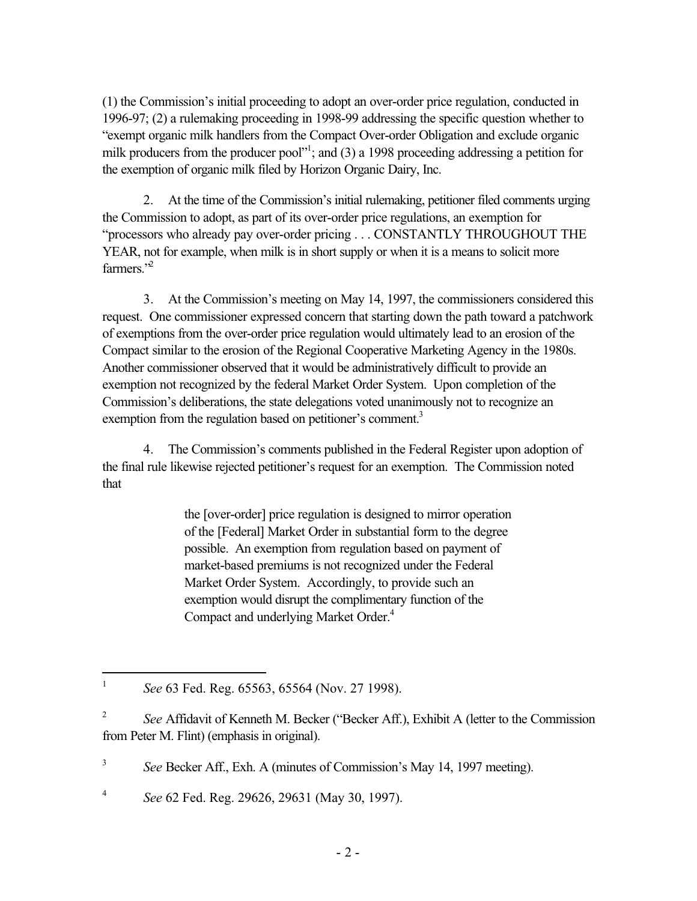(1) the Commission's initial proceeding to adopt an over-order price regulation, conducted in 1996-97; (2) a rulemaking proceeding in 1998-99 addressing the specific question whether to "exempt organic milk handlers from the Compact Over-order Obligation and exclude organic milk producers from the producer pool"<sup>1</sup>; and (3) a 1998 proceeding addressing a petition for the exemption of organic milk filed by Horizon Organic Dairy, Inc.

2. At the time of the Commission's initial rulemaking, petitioner filed comments urging the Commission to adopt, as part of its over-order price regulations, an exemption for "processors who already pay over-order pricing . . . CONSTANTLY THROUGHOUT THE YEAR, not for example, when milk is in short supply or when it is a means to solicit more farmers. $"^2$ 

3. At the Commission's meeting on May 14, 1997, the commissioners considered this request. One commissioner expressed concern that starting down the path toward a patchwork of exemptions from the over-order price regulation would ultimately lead to an erosion of the Compact similar to the erosion of the Regional Cooperative Marketing Agency in the 1980s. Another commissioner observed that it would be administratively difficult to provide an exemption not recognized by the federal Market Order System. Upon completion of the Commission's deliberations, the state delegations voted unanimously not to recognize an exemption from the regulation based on petitioner's comment.<sup>3</sup>

4. The Commission's comments published in the Federal Register upon adoption of the final rule likewise rejected petitioner's request for an exemption. The Commission noted that

> the [over-order] price regulation is designed to mirror operation of the [Federal] Market Order in substantial form to the degree possible. An exemption from regulation based on payment of market-based premiums is not recognized under the Federal Market Order System. Accordingly, to provide such an exemption would disrupt the complimentary function of the Compact and underlying Market Order.<sup>4</sup>

<sup>4</sup> *See* 62 Fed. Reg. 29626, 29631 (May 30, 1997).

l <sup>1</sup> *See* 63 Fed. Reg. 65563, 65564 (Nov. 27 1998).

<sup>2</sup> *See* Affidavit of Kenneth M. Becker ("Becker Aff.), Exhibit A (letter to the Commission from Peter M. Flint) (emphasis in original).

<sup>&</sup>lt;sup>3</sup> *See* Becker Aff., Exh. A (minutes of Commission's May 14, 1997 meeting).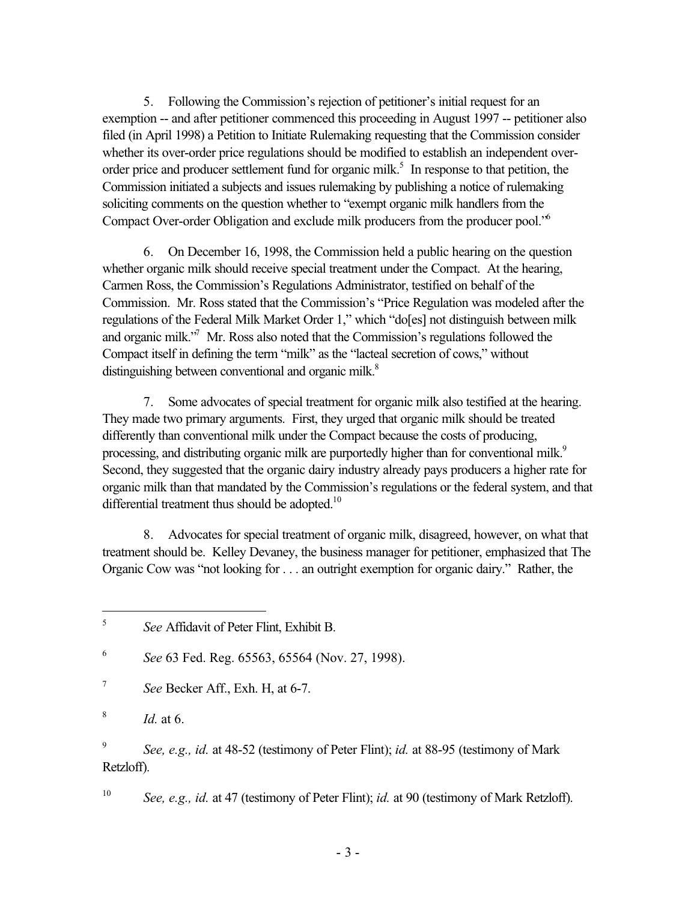5. Following the Commission's rejection of petitioner's initial request for an exemption -- and after petitioner commenced this proceeding in August 1997 -- petitioner also filed (in April 1998) a Petition to Initiate Rulemaking requesting that the Commission consider whether its over-order price regulations should be modified to establish an independent overorder price and producer settlement fund for organic milk.<sup>5</sup> In response to that petition, the Commission initiated a subjects and issues rulemaking by publishing a notice of rulemaking soliciting comments on the question whether to "exempt organic milk handlers from the Compact Over-order Obligation and exclude milk producers from the producer pool."6

6. On December 16, 1998, the Commission held a public hearing on the question whether organic milk should receive special treatment under the Compact. At the hearing, Carmen Ross, the Commission's Regulations Administrator, testified on behalf of the Commission. Mr. Ross stated that the Commission's "Price Regulation was modeled after the regulations of the Federal Milk Market Order 1," which "do[es] not distinguish between milk and organic milk."<sup>7</sup> Mr. Ross also noted that the Commission's regulations followed the Compact itself in defining the term "milk" as the "lacteal secretion of cows," without distinguishing between conventional and organic milk.<sup>8</sup>

7. Some advocates of special treatment for organic milk also testified at the hearing. They made two primary arguments. First, they urged that organic milk should be treated differently than conventional milk under the Compact because the costs of producing, processing, and distributing organic milk are purportedly higher than for conventional milk.<sup>9</sup> Second, they suggested that the organic dairy industry already pays producers a higher rate for organic milk than that mandated by the Commission's regulations or the federal system, and that differential treatment thus should be adopted.<sup>10</sup>

8. Advocates for special treatment of organic milk, disagreed, however, on what that treatment should be. Kelley Devaney, the business manager for petitioner, emphasized that The Organic Cow was "not looking for . . . an outright exemption for organic dairy." Rather, the

<sup>7</sup> *See* Becker Aff., Exh. H, at 6-7.

<sup>8</sup> *Id.* at 6.

<sup>9</sup> *See, e.g., id.* at 48-52 (testimony of Peter Flint); *id.* at 88-95 (testimony of Mark Retzloff).

<sup>10</sup> *See, e.g., id.* at 47 (testimony of Peter Flint); *id.* at 90 (testimony of Mark Retzloff).

 $\mathfrak{S}$ <sup>5</sup> *See* Affidavit of Peter Flint, Exhibit B.

<sup>6</sup> *See* 63 Fed. Reg. 65563, 65564 (Nov. 27, 1998).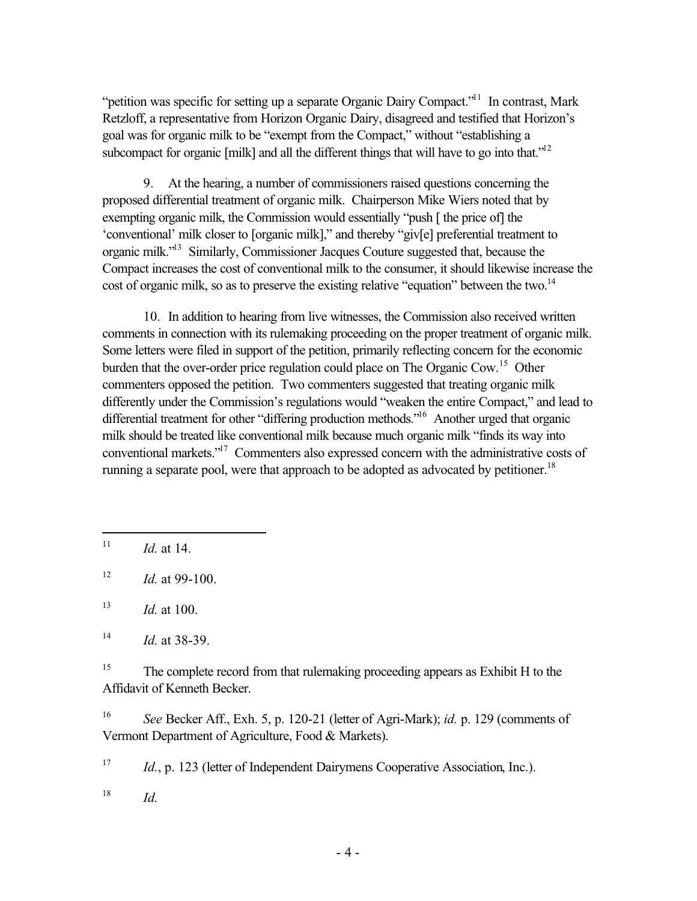"petition was specific for setting up a separate Organic Dairy Compact."<sup>11</sup> In contrast, Mark Retzloff, a representative from Horizon Organic Dairy, disagreed and testified that Horizon's goal was for organic milk to be "exempt from the Compact," without "establishing a subcompact for organic [milk] and all the different things that will have to go into that."<sup>12</sup>

9. At the hearing, a number of commissioners raised questions concerning the proposed differential treatment of organic milk. Chairperson Mike Wiers noted that by exempting organic milk, the Commission would essentially "push [ the price of] the 'conventional' milk closer to [organic milk]," and thereby "giv[e] preferential treatment to organic milk."13 Similarly, Commissioner Jacques Couture suggested that, because the Compact increases the cost of conventional milk to the consumer, it should likewise increase the cost of organic milk, so as to preserve the existing relative "equation" between the two.<sup>14</sup>

10. In addition to hearing from live witnesses, the Commission also received written comments in connection with its rulemaking proceeding on the proper treatment of organic milk. Some letters were filed in support of the petition, primarily reflecting concern for the economic burden that the over-order price regulation could place on The Organic Cow.<sup>15</sup> Other commenters opposed the petition. Two commenters suggested that treating organic milk differently under the Commission's regulations would "weaken the entire Compact," and lead to differential treatment for other "differing production methods."<sup>16</sup> Another urged that organic milk should be treated like conventional milk because much organic milk "finds its way into conventional markets."17 Commenters also expressed concern with the administrative costs of running a separate pool, were that approach to be adopted as advocated by petitioner.<sup>18</sup>

<sup>15</sup> The complete record from that rulemaking proceeding appears as Exhibit H to the Affidavit of Kenneth Becker.

<sup>16</sup> *See* Becker Aff., Exh. 5, p. 120-21 (letter of Agri-Mark); *id.* p. 129 (comments of Vermont Department of Agriculture, Food & Markets).

<sup>17</sup> *Id.*, p. 123 (letter of Independent Dairymens Cooperative Association, Inc.).

 $18$  *Id.* 

 $11$ *Id.* at 14.

<sup>12</sup> *Id.* at 99-100.

 $13$  *Id.* at 100.

<sup>14</sup> *Id.* at 38-39.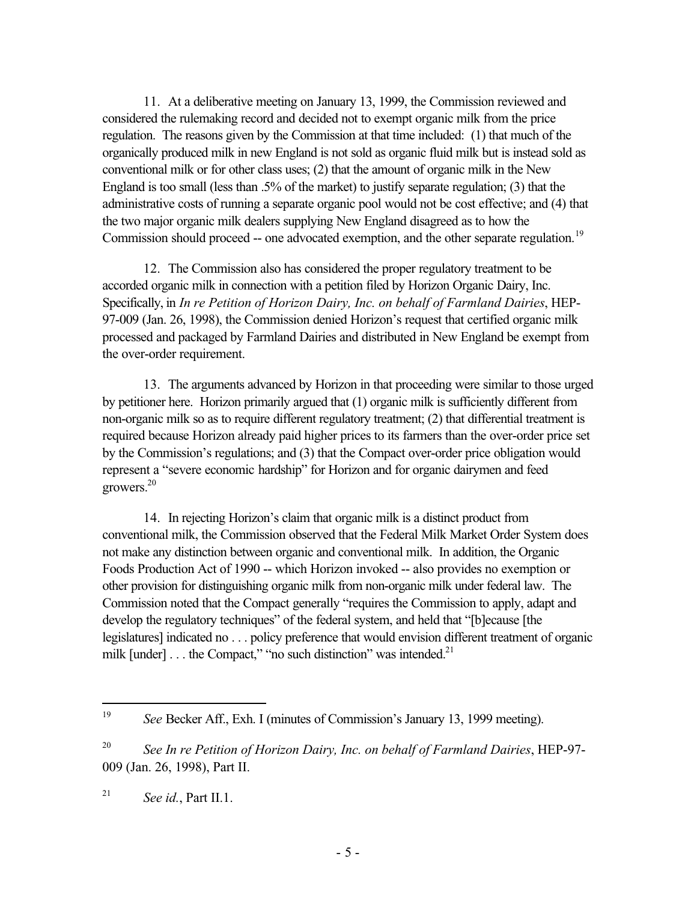11. At a deliberative meeting on January 13, 1999, the Commission reviewed and considered the rulemaking record and decided not to exempt organic milk from the price regulation. The reasons given by the Commission at that time included: (1) that much of the organically produced milk in new England is not sold as organic fluid milk but is instead sold as conventional milk or for other class uses; (2) that the amount of organic milk in the New England is too small (less than .5% of the market) to justify separate regulation; (3) that the administrative costs of running a separate organic pool would not be cost effective; and (4) that the two major organic milk dealers supplying New England disagreed as to how the Commission should proceed -- one advocated exemption, and the other separate regulation.<sup>19</sup>

12. The Commission also has considered the proper regulatory treatment to be accorded organic milk in connection with a petition filed by Horizon Organic Dairy, Inc. Specifically, in *In re Petition of Horizon Dairy, Inc. on behalf of Farmland Dairies*, HEP-97-009 (Jan. 26, 1998), the Commission denied Horizon's request that certified organic milk processed and packaged by Farmland Dairies and distributed in New England be exempt from the over-order requirement.

13. The arguments advanced by Horizon in that proceeding were similar to those urged by petitioner here. Horizon primarily argued that (1) organic milk is sufficiently different from non-organic milk so as to require different regulatory treatment; (2) that differential treatment is required because Horizon already paid higher prices to its farmers than the over-order price set by the Commission's regulations; and (3) that the Compact over-order price obligation would represent a "severe economic hardship" for Horizon and for organic dairymen and feed growers.20

14. In rejecting Horizon's claim that organic milk is a distinct product from conventional milk, the Commission observed that the Federal Milk Market Order System does not make any distinction between organic and conventional milk. In addition, the Organic Foods Production Act of 1990 -- which Horizon invoked -- also provides no exemption or other provision for distinguishing organic milk from non-organic milk under federal law. The Commission noted that the Compact generally "requires the Commission to apply, adapt and develop the regulatory techniques" of the federal system, and held that "[b]ecause [the legislatures] indicated no . . . policy preference that would envision different treatment of organic milk [under]  $\dots$  the Compact," "no such distinction" was intended.<sup>21</sup>

<sup>19</sup> See Becker Aff., Exh. I (minutes of Commission's January 13, 1999 meeting).

<sup>20</sup> *See In re Petition of Horizon Dairy, Inc. on behalf of Farmland Dairies*, HEP-97- 009 (Jan. 26, 1998), Part II.

<sup>21</sup> *See id.*, Part II.1.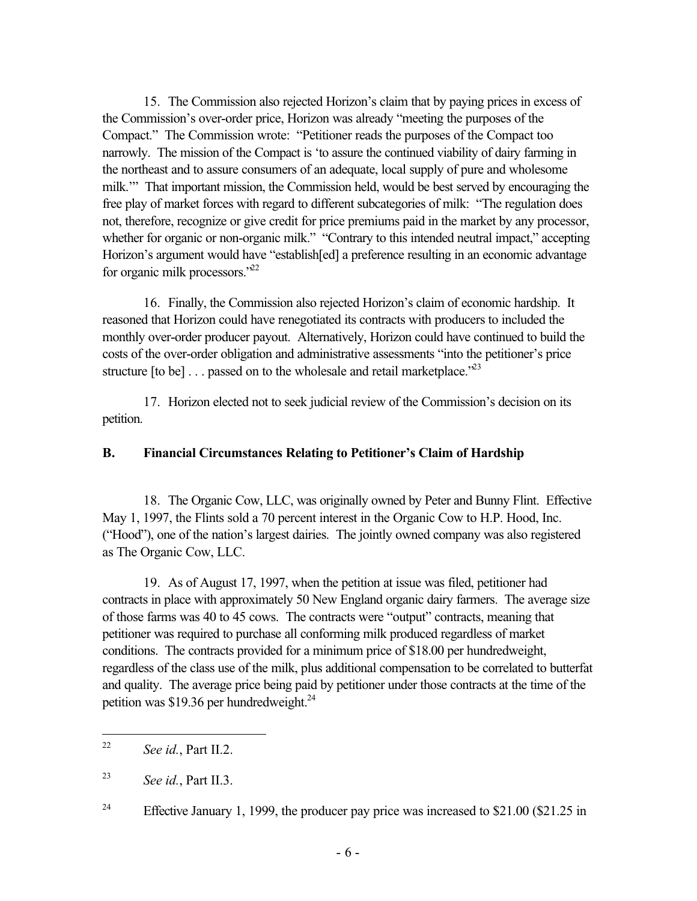15. The Commission also rejected Horizon's claim that by paying prices in excess of the Commission's over-order price, Horizon was already "meeting the purposes of the Compact." The Commission wrote: "Petitioner reads the purposes of the Compact too narrowly. The mission of the Compact is 'to assure the continued viability of dairy farming in the northeast and to assure consumers of an adequate, local supply of pure and wholesome milk.'" That important mission, the Commission held, would be best served by encouraging the free play of market forces with regard to different subcategories of milk: "The regulation does not, therefore, recognize or give credit for price premiums paid in the market by any processor, whether for organic or non-organic milk." "Contrary to this intended neutral impact," accepting Horizon's argument would have "establish[ed] a preference resulting in an economic advantage for organic milk processors."22

16. Finally, the Commission also rejected Horizon's claim of economic hardship. It reasoned that Horizon could have renegotiated its contracts with producers to included the monthly over-order producer payout. Alternatively, Horizon could have continued to build the costs of the over-order obligation and administrative assessments "into the petitioner's price structure [to be]  $\ldots$  passed on to the wholesale and retail marketplace.<sup>223</sup>

17. Horizon elected not to seek judicial review of the Commission's decision on its petition.

### **B. Financial Circumstances Relating to Petitioner's Claim of Hardship**

18. The Organic Cow, LLC, was originally owned by Peter and Bunny Flint. Effective May 1, 1997, the Flints sold a 70 percent interest in the Organic Cow to H.P. Hood, Inc. ("Hood"), one of the nation's largest dairies. The jointly owned company was also registered as The Organic Cow, LLC.

19. As of August 17, 1997, when the petition at issue was filed, petitioner had contracts in place with approximately 50 New England organic dairy farmers. The average size of those farms was 40 to 45 cows. The contracts were "output" contracts, meaning that petitioner was required to purchase all conforming milk produced regardless of market conditions. The contracts provided for a minimum price of \$18.00 per hundredweight, regardless of the class use of the milk, plus additional compensation to be correlated to butterfat and quality. The average price being paid by petitioner under those contracts at the time of the petition was \$19.36 per hundredweight. $^{24}$ 

<sup>24</sup> Effective January 1, 1999, the producer pay price was increased to \$21.00 (\$21.25 in

<sup>22</sup> See id., Part II.2.

<sup>23</sup> *See id.*, Part II.3.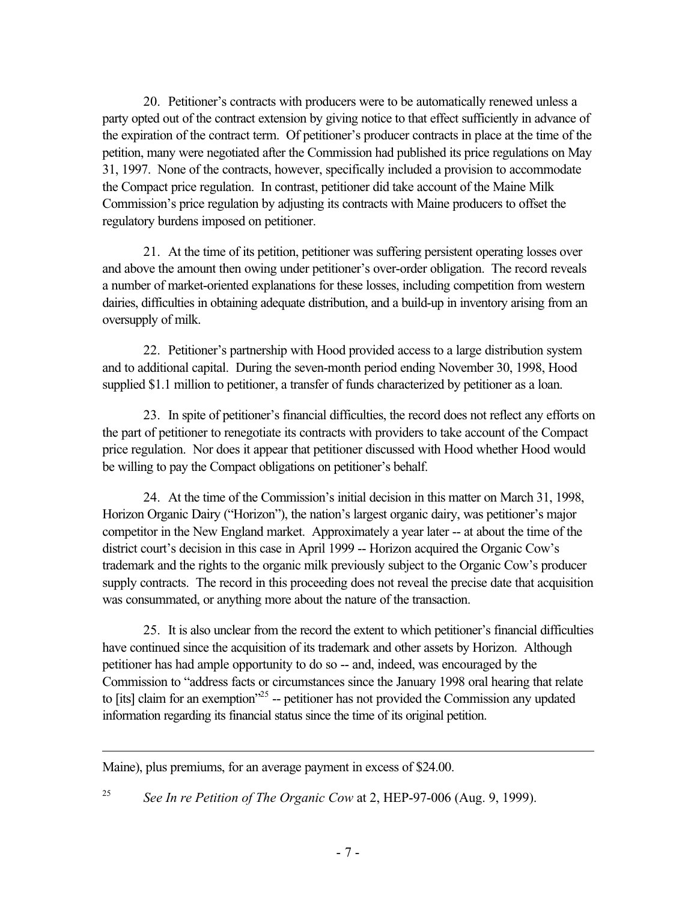20. Petitioner's contracts with producers were to be automatically renewed unless a party opted out of the contract extension by giving notice to that effect sufficiently in advance of the expiration of the contract term. Of petitioner's producer contracts in place at the time of the petition, many were negotiated after the Commission had published its price regulations on May 31, 1997. None of the contracts, however, specifically included a provision to accommodate the Compact price regulation. In contrast, petitioner did take account of the Maine Milk Commission's price regulation by adjusting its contracts with Maine producers to offset the regulatory burdens imposed on petitioner.

21. At the time of its petition, petitioner was suffering persistent operating losses over and above the amount then owing under petitioner's over-order obligation. The record reveals a number of market-oriented explanations for these losses, including competition from western dairies, difficulties in obtaining adequate distribution, and a build-up in inventory arising from an oversupply of milk.

22. Petitioner's partnership with Hood provided access to a large distribution system and to additional capital. During the seven-month period ending November 30, 1998, Hood supplied \$1.1 million to petitioner, a transfer of funds characterized by petitioner as a loan.

23. In spite of petitioner's financial difficulties, the record does not reflect any efforts on the part of petitioner to renegotiate its contracts with providers to take account of the Compact price regulation. Nor does it appear that petitioner discussed with Hood whether Hood would be willing to pay the Compact obligations on petitioner's behalf.

24. At the time of the Commission's initial decision in this matter on March 31, 1998, Horizon Organic Dairy ("Horizon"), the nation's largest organic dairy, was petitioner's major competitor in the New England market. Approximately a year later -- at about the time of the district court's decision in this case in April 1999 -- Horizon acquired the Organic Cow's trademark and the rights to the organic milk previously subject to the Organic Cow's producer supply contracts. The record in this proceeding does not reveal the precise date that acquisition was consummated, or anything more about the nature of the transaction.

25. It is also unclear from the record the extent to which petitioner's financial difficulties have continued since the acquisition of its trademark and other assets by Horizon. Although petitioner has had ample opportunity to do so -- and, indeed, was encouraged by the Commission to "address facts or circumstances since the January 1998 oral hearing that relate to [its] claim for an exemption"<sup>25</sup> -- petitioner has not provided the Commission any updated information regarding its financial status since the time of its original petition.

Maine), plus premiums, for an average payment in excess of \$24.00.

l

<sup>25</sup> *See In re Petition of The Organic Cow* at 2, HEP-97-006 (Aug. 9, 1999).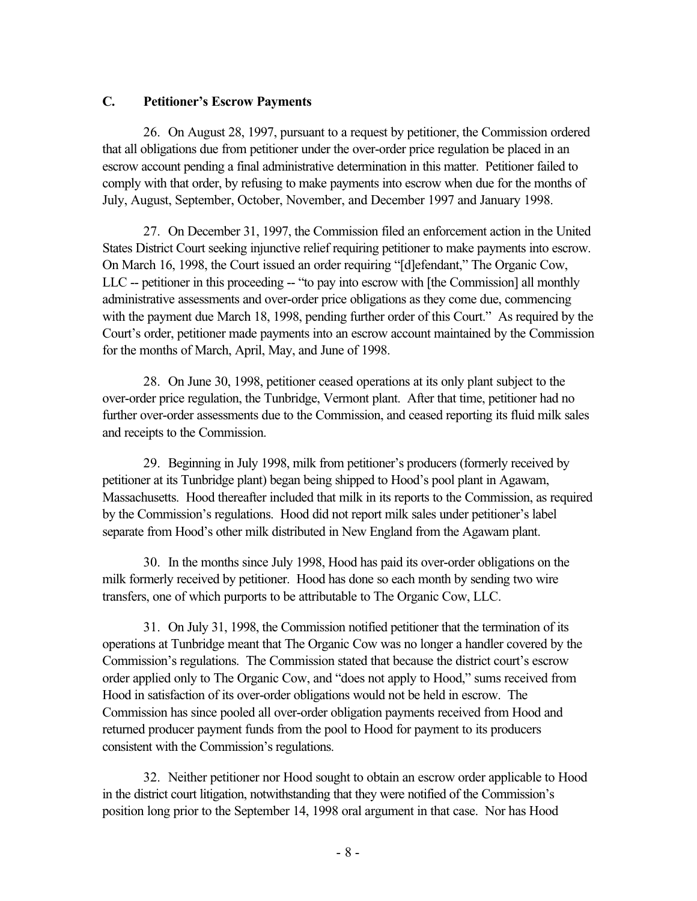### **C. Petitioner's Escrow Payments**

26. On August 28, 1997, pursuant to a request by petitioner, the Commission ordered that all obligations due from petitioner under the over-order price regulation be placed in an escrow account pending a final administrative determination in this matter. Petitioner failed to comply with that order, by refusing to make payments into escrow when due for the months of July, August, September, October, November, and December 1997 and January 1998.

27. On December 31, 1997, the Commission filed an enforcement action in the United States District Court seeking injunctive relief requiring petitioner to make payments into escrow. On March 16, 1998, the Court issued an order requiring "[d]efendant," The Organic Cow, LLC -- petitioner in this proceeding -- "to pay into escrow with [the Commission] all monthly administrative assessments and over-order price obligations as they come due, commencing with the payment due March 18, 1998, pending further order of this Court." As required by the Court's order, petitioner made payments into an escrow account maintained by the Commission for the months of March, April, May, and June of 1998.

28. On June 30, 1998, petitioner ceased operations at its only plant subject to the over-order price regulation, the Tunbridge, Vermont plant. After that time, petitioner had no further over-order assessments due to the Commission, and ceased reporting its fluid milk sales and receipts to the Commission.

29. Beginning in July 1998, milk from petitioner's producers (formerly received by petitioner at its Tunbridge plant) began being shipped to Hood's pool plant in Agawam, Massachusetts. Hood thereafter included that milk in its reports to the Commission, as required by the Commission's regulations. Hood did not report milk sales under petitioner's label separate from Hood's other milk distributed in New England from the Agawam plant.

30. In the months since July 1998, Hood has paid its over-order obligations on the milk formerly received by petitioner. Hood has done so each month by sending two wire transfers, one of which purports to be attributable to The Organic Cow, LLC.

31. On July 31, 1998, the Commission notified petitioner that the termination of its operations at Tunbridge meant that The Organic Cow was no longer a handler covered by the Commission's regulations. The Commission stated that because the district court's escrow order applied only to The Organic Cow, and "does not apply to Hood," sums received from Hood in satisfaction of its over-order obligations would not be held in escrow. The Commission has since pooled all over-order obligation payments received from Hood and returned producer payment funds from the pool to Hood for payment to its producers consistent with the Commission's regulations.

32. Neither petitioner nor Hood sought to obtain an escrow order applicable to Hood in the district court litigation, notwithstanding that they were notified of the Commission's position long prior to the September 14, 1998 oral argument in that case. Nor has Hood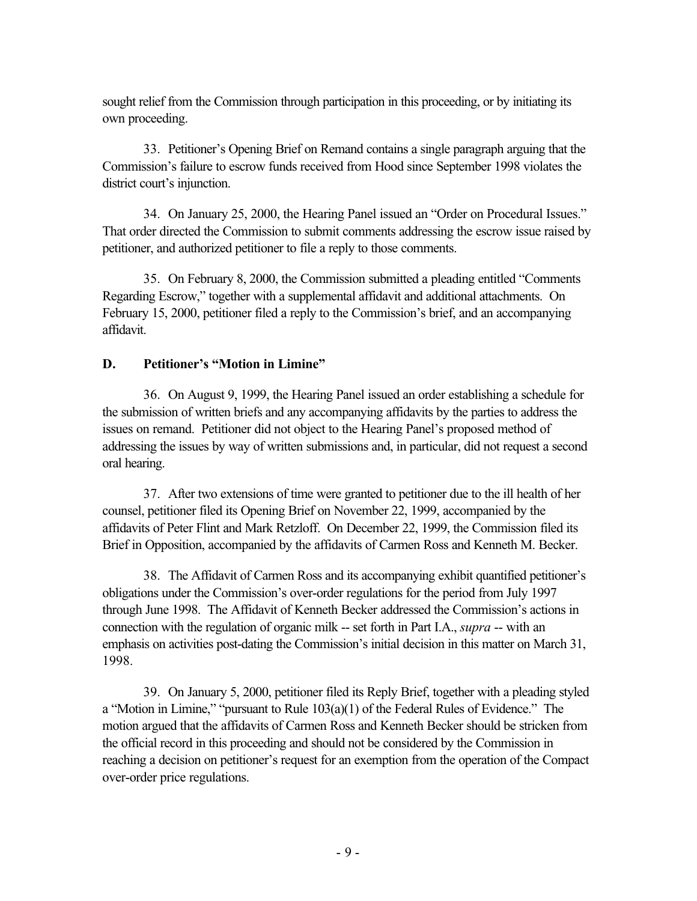sought relief from the Commission through participation in this proceeding, or by initiating its own proceeding.

33. Petitioner's Opening Brief on Remand contains a single paragraph arguing that the Commission's failure to escrow funds received from Hood since September 1998 violates the district court's injunction.

34. On January 25, 2000, the Hearing Panel issued an "Order on Procedural Issues." That order directed the Commission to submit comments addressing the escrow issue raised by petitioner, and authorized petitioner to file a reply to those comments.

35. On February 8, 2000, the Commission submitted a pleading entitled "Comments Regarding Escrow," together with a supplemental affidavit and additional attachments. On February 15, 2000, petitioner filed a reply to the Commission's brief, and an accompanying affidavit.

# **D. Petitioner's "Motion in Limine"**

36. On August 9, 1999, the Hearing Panel issued an order establishing a schedule for the submission of written briefs and any accompanying affidavits by the parties to address the issues on remand. Petitioner did not object to the Hearing Panel's proposed method of addressing the issues by way of written submissions and, in particular, did not request a second oral hearing.

37. After two extensions of time were granted to petitioner due to the ill health of her counsel, petitioner filed its Opening Brief on November 22, 1999, accompanied by the affidavits of Peter Flint and Mark Retzloff. On December 22, 1999, the Commission filed its Brief in Opposition, accompanied by the affidavits of Carmen Ross and Kenneth M. Becker.

38. The Affidavit of Carmen Ross and its accompanying exhibit quantified petitioner's obligations under the Commission's over-order regulations for the period from July 1997 through June 1998. The Affidavit of Kenneth Becker addressed the Commission's actions in connection with the regulation of organic milk -- set forth in Part I.A., *supra* -- with an emphasis on activities post-dating the Commission's initial decision in this matter on March 31, 1998.

39. On January 5, 2000, petitioner filed its Reply Brief, together with a pleading styled a "Motion in Limine," "pursuant to Rule 103(a)(1) of the Federal Rules of Evidence." The motion argued that the affidavits of Carmen Ross and Kenneth Becker should be stricken from the official record in this proceeding and should not be considered by the Commission in reaching a decision on petitioner's request for an exemption from the operation of the Compact over-order price regulations.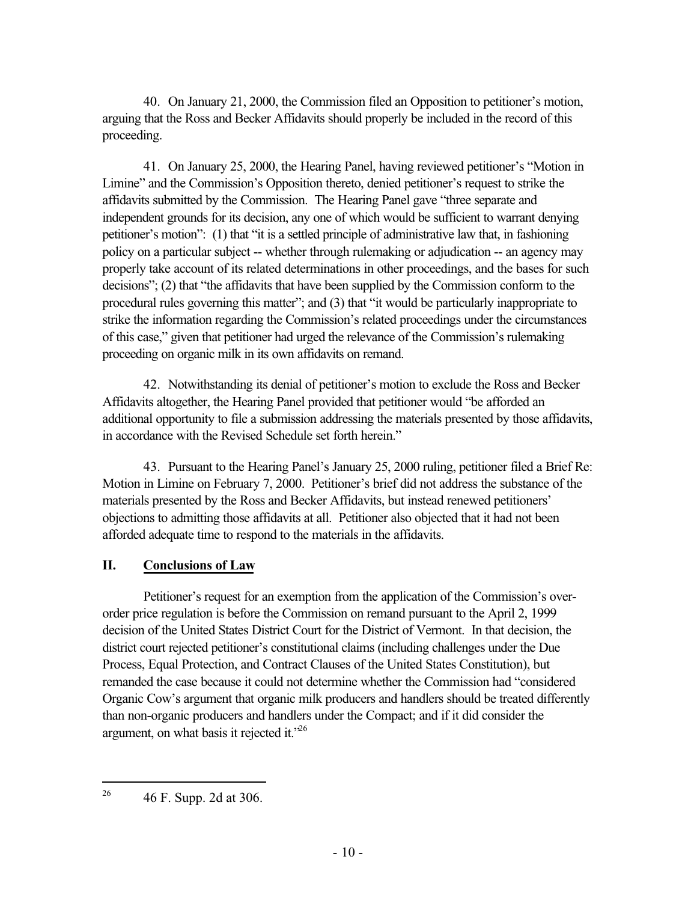40. On January 21, 2000, the Commission filed an Opposition to petitioner's motion, arguing that the Ross and Becker Affidavits should properly be included in the record of this proceeding.

41. On January 25, 2000, the Hearing Panel, having reviewed petitioner's "Motion in Limine" and the Commission's Opposition thereto, denied petitioner's request to strike the affidavits submitted by the Commission. The Hearing Panel gave "three separate and independent grounds for its decision, any one of which would be sufficient to warrant denying petitioner's motion": (1) that "it is a settled principle of administrative law that, in fashioning policy on a particular subject -- whether through rulemaking or adjudication -- an agency may properly take account of its related determinations in other proceedings, and the bases for such decisions"; (2) that "the affidavits that have been supplied by the Commission conform to the procedural rules governing this matter"; and (3) that "it would be particularly inappropriate to strike the information regarding the Commission's related proceedings under the circumstances of this case," given that petitioner had urged the relevance of the Commission's rulemaking proceeding on organic milk in its own affidavits on remand.

42. Notwithstanding its denial of petitioner's motion to exclude the Ross and Becker Affidavits altogether, the Hearing Panel provided that petitioner would "be afforded an additional opportunity to file a submission addressing the materials presented by those affidavits, in accordance with the Revised Schedule set forth herein."

43. Pursuant to the Hearing Panel's January 25, 2000 ruling, petitioner filed a Brief Re: Motion in Limine on February 7, 2000. Petitioner's brief did not address the substance of the materials presented by the Ross and Becker Affidavits, but instead renewed petitioners' objections to admitting those affidavits at all. Petitioner also objected that it had not been afforded adequate time to respond to the materials in the affidavits.

## **II. Conclusions of Law**

Petitioner's request for an exemption from the application of the Commission's overorder price regulation is before the Commission on remand pursuant to the April 2, 1999 decision of the United States District Court for the District of Vermont. In that decision, the district court rejected petitioner's constitutional claims (including challenges under the Due Process, Equal Protection, and Contract Clauses of the United States Constitution), but remanded the case because it could not determine whether the Commission had "considered Organic Cow's argument that organic milk producers and handlers should be treated differently than non-organic producers and handlers under the Compact; and if it did consider the argument, on what basis it rejected it.<sup> $26$ </sup>

l <sup>26</sup> 46 F. Supp. 2d at 306.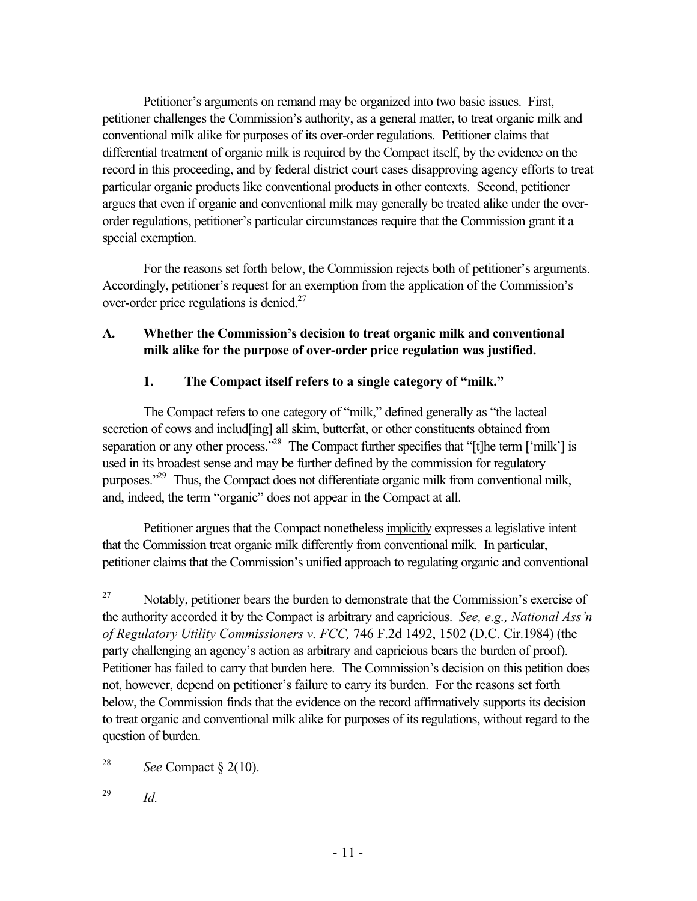Petitioner's arguments on remand may be organized into two basic issues. First, petitioner challenges the Commission's authority, as a general matter, to treat organic milk and conventional milk alike for purposes of its over-order regulations. Petitioner claims that differential treatment of organic milk is required by the Compact itself, by the evidence on the record in this proceeding, and by federal district court cases disapproving agency efforts to treat particular organic products like conventional products in other contexts. Second, petitioner argues that even if organic and conventional milk may generally be treated alike under the overorder regulations, petitioner's particular circumstances require that the Commission grant it a special exemption.

For the reasons set forth below, the Commission rejects both of petitioner's arguments. Accordingly, petitioner's request for an exemption from the application of the Commission's over-order price regulations is denied. $27$ 

# **A. Whether the Commission's decision to treat organic milk and conventional milk alike for the purpose of over-order price regulation was justified.**

# **1. The Compact itself refers to a single category of "milk."**

The Compact refers to one category of "milk," defined generally as "the lacteal secretion of cows and includ[ing] all skim, butterfat, or other constituents obtained from separation or any other process.<sup>28</sup> The Compact further specifies that "[t]he term ['milk'] is used in its broadest sense and may be further defined by the commission for regulatory purposes."<sup>29</sup> Thus, the Compact does not differentiate organic milk from conventional milk, and, indeed, the term "organic" does not appear in the Compact at all.

Petitioner argues that the Compact nonetheless implicitly expresses a legislative intent that the Commission treat organic milk differently from conventional milk. In particular, petitioner claims that the Commission's unified approach to regulating organic and conventional

<sup>27</sup> Notably, petitioner bears the burden to demonstrate that the Commission's exercise of the authority accorded it by the Compact is arbitrary and capricious. *See, e.g., National Ass'n of Regulatory Utility Commissioners v. FCC,* 746 F.2d 1492, 1502 (D.C. Cir.1984) (the party challenging an agency's action as arbitrary and capricious bears the burden of proof). Petitioner has failed to carry that burden here. The Commission's decision on this petition does not, however, depend on petitioner's failure to carry its burden. For the reasons set forth below, the Commission finds that the evidence on the record affirmatively supports its decision to treat organic and conventional milk alike for purposes of its regulations, without regard to the question of burden.

<sup>&</sup>lt;sup>28</sup> *See* Compact  $\S$  2(10).

<sup>29</sup> *Id.*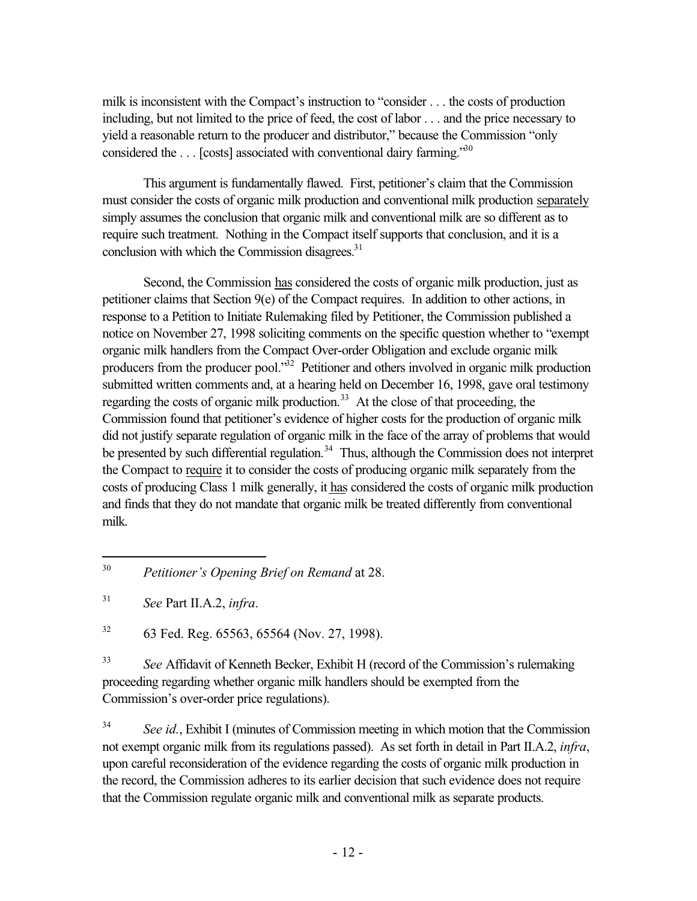milk is inconsistent with the Compact's instruction to "consider . . . the costs of production including, but not limited to the price of feed, the cost of labor . . . and the price necessary to yield a reasonable return to the producer and distributor," because the Commission "only considered the  $\dots$  [costs] associated with conventional dairy farming.<sup>30</sup>

This argument is fundamentally flawed. First, petitioner's claim that the Commission must consider the costs of organic milk production and conventional milk production separately simply assumes the conclusion that organic milk and conventional milk are so different as to require such treatment. Nothing in the Compact itself supports that conclusion, and it is a conclusion with which the Commission disagrees. $31$ 

Second, the Commission has considered the costs of organic milk production, just as petitioner claims that Section 9(e) of the Compact requires. In addition to other actions, in response to a Petition to Initiate Rulemaking filed by Petitioner, the Commission published a notice on November 27, 1998 soliciting comments on the specific question whether to "exempt organic milk handlers from the Compact Over-order Obligation and exclude organic milk producers from the producer pool. $\overline{32}$  Petitioner and others involved in organic milk production submitted written comments and, at a hearing held on December 16, 1998, gave oral testimony regarding the costs of organic milk production.<sup>33</sup> At the close of that proceeding, the Commission found that petitioner's evidence of higher costs for the production of organic milk did not justify separate regulation of organic milk in the face of the array of problems that would be presented by such differential regulation.<sup>34</sup> Thus, although the Commission does not interpret the Compact to require it to consider the costs of producing organic milk separately from the costs of producing Class 1 milk generally, it has considered the costs of organic milk production and finds that they do not mandate that organic milk be treated differently from conventional milk.

l

 $32$  63 Fed. Reg. 65563, 65564 (Nov. 27, 1998).

<sup>33</sup> *See* Affidavit of Kenneth Becker, Exhibit H (record of the Commission's rulemaking proceeding regarding whether organic milk handlers should be exempted from the Commission's over-order price regulations).

<sup>34</sup> *See id.*, Exhibit I (minutes of Commission meeting in which motion that the Commission not exempt organic milk from its regulations passed). As set forth in detail in Part II.A.2, *infra*, upon careful reconsideration of the evidence regarding the costs of organic milk production in the record, the Commission adheres to its earlier decision that such evidence does not require that the Commission regulate organic milk and conventional milk as separate products.

<sup>30</sup> *Petitioner's Opening Brief on Remand* at 28.

<sup>31</sup> *See* Part II.A.2, *infra*.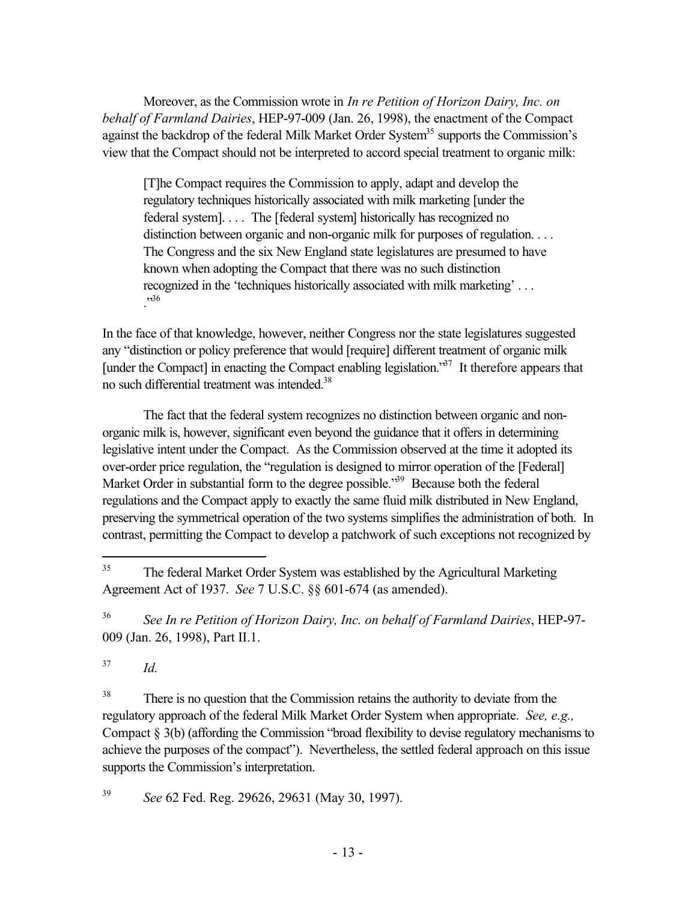Moreover, as the Commission wrote in *In re Petition of Horizon Dairy, Inc. on behalf of Farmland Dairies*, HEP-97-009 (Jan. 26, 1998), the enactment of the Compact against the backdrop of the federal Milk Market Order System<sup>35</sup> supports the Commission's view that the Compact should not be interpreted to accord special treatment to organic milk:

[T]he Compact requires the Commission to apply, adapt and develop the regulatory techniques historically associated with milk marketing [under the federal system]. . . . The [federal system] historically has recognized no distinction between organic and non-organic milk for purposes of regulation. . . . The Congress and the six New England state legislatures are presumed to have known when adopting the Compact that there was no such distinction recognized in the 'techniques historically associated with milk marketing' . . . ."36

In the face of that knowledge, however, neither Congress nor the state legislatures suggested any "distinction or policy preference that would [require] different treatment of organic milk [under the Compact] in enacting the Compact enabling legislation.<sup>37</sup> It therefore appears that no such differential treatment was intended.<sup>38</sup>

The fact that the federal system recognizes no distinction between organic and nonorganic milk is, however, significant even beyond the guidance that it offers in determining legislative intent under the Compact. As the Commission observed at the time it adopted its over-order price regulation, the "regulation is designed to mirror operation of the [Federal] Market Order in substantial form to the degree possible.<sup>39</sup> Because both the federal regulations and the Compact apply to exactly the same fluid milk distributed in New England, preserving the symmetrical operation of the two systems simplifies the administration of both. In contrast, permitting the Compact to develop a patchwork of such exceptions not recognized by

<sup>36</sup> *See In re Petition of Horizon Dairy, Inc. on behalf of Farmland Dairies*, HEP-97- 009 (Jan. 26, 1998), Part II.1.

<sup>37</sup> *Id.*

l

<sup>38</sup> There is no question that the Commission retains the authority to deviate from the regulatory approach of the federal Milk Market Order System when appropriate. *See, e.g.,* Compact  $\S 3(b)$  (affording the Commission "broad flexibility to devise regulatory mechanisms to achieve the purposes of the compact"). Nevertheless, the settled federal approach on this issue supports the Commission's interpretation.

<sup>39</sup> *See* 62 Fed. Reg. 29626, 29631 (May 30, 1997).

<sup>&</sup>lt;sup>35</sup> The federal Market Order System was established by the Agricultural Marketing Agreement Act of 1937. *See* 7 U.S.C. §§ 601-674 (as amended).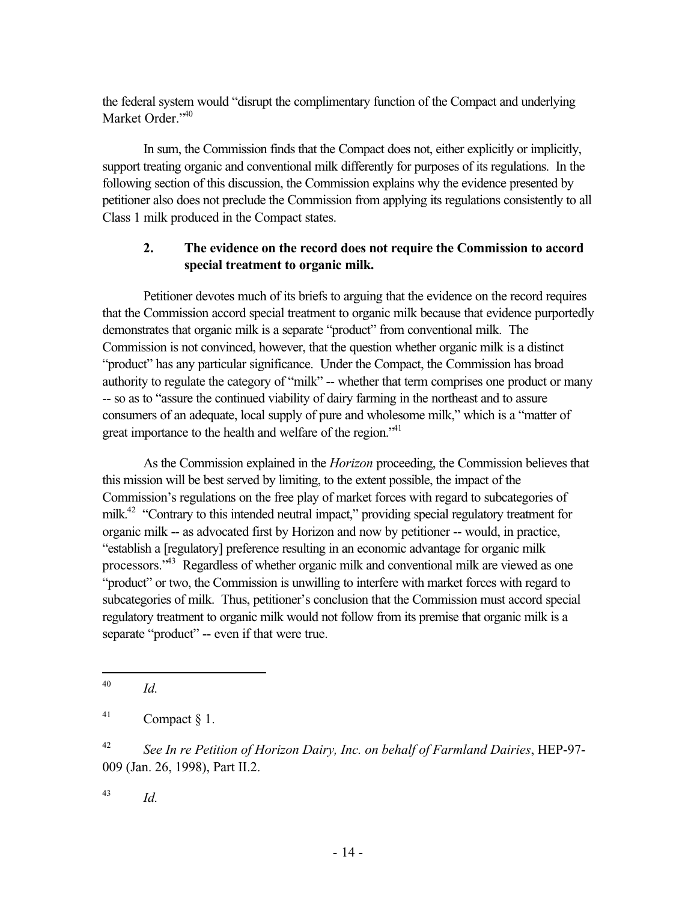the federal system would "disrupt the complimentary function of the Compact and underlying Market Order."<sup>40</sup>

In sum, the Commission finds that the Compact does not, either explicitly or implicitly, support treating organic and conventional milk differently for purposes of its regulations. In the following section of this discussion, the Commission explains why the evidence presented by petitioner also does not preclude the Commission from applying its regulations consistently to all Class 1 milk produced in the Compact states.

# **2. The evidence on the record does not require the Commission to accord special treatment to organic milk.**

Petitioner devotes much of its briefs to arguing that the evidence on the record requires that the Commission accord special treatment to organic milk because that evidence purportedly demonstrates that organic milk is a separate "product" from conventional milk. The Commission is not convinced, however, that the question whether organic milk is a distinct "product" has any particular significance. Under the Compact, the Commission has broad authority to regulate the category of "milk" -- whether that term comprises one product or many -- so as to "assure the continued viability of dairy farming in the northeast and to assure consumers of an adequate, local supply of pure and wholesome milk," which is a "matter of great importance to the health and welfare of the region."<sup>41</sup>

As the Commission explained in the *Horizon* proceeding, the Commission believes that this mission will be best served by limiting, to the extent possible, the impact of the Commission's regulations on the free play of market forces with regard to subcategories of milk.<sup>42</sup> "Contrary to this intended neutral impact," providing special regulatory treatment for organic milk -- as advocated first by Horizon and now by petitioner -- would, in practice, "establish a [regulatory] preference resulting in an economic advantage for organic milk processors.<sup>"43</sup> Regardless of whether organic milk and conventional milk are viewed as one "product" or two, the Commission is unwilling to interfere with market forces with regard to subcategories of milk. Thus, petitioner's conclusion that the Commission must accord special regulatory treatment to organic milk would not follow from its premise that organic milk is a separate "product" -- even if that were true.

<sup>43</sup> *Id.*

<sup>-</sup><sup>40</sup> *Id.*

 $^{41}$  Compact § 1.

<sup>42</sup> *See In re Petition of Horizon Dairy, Inc. on behalf of Farmland Dairies*, HEP-97- 009 (Jan. 26, 1998), Part II.2.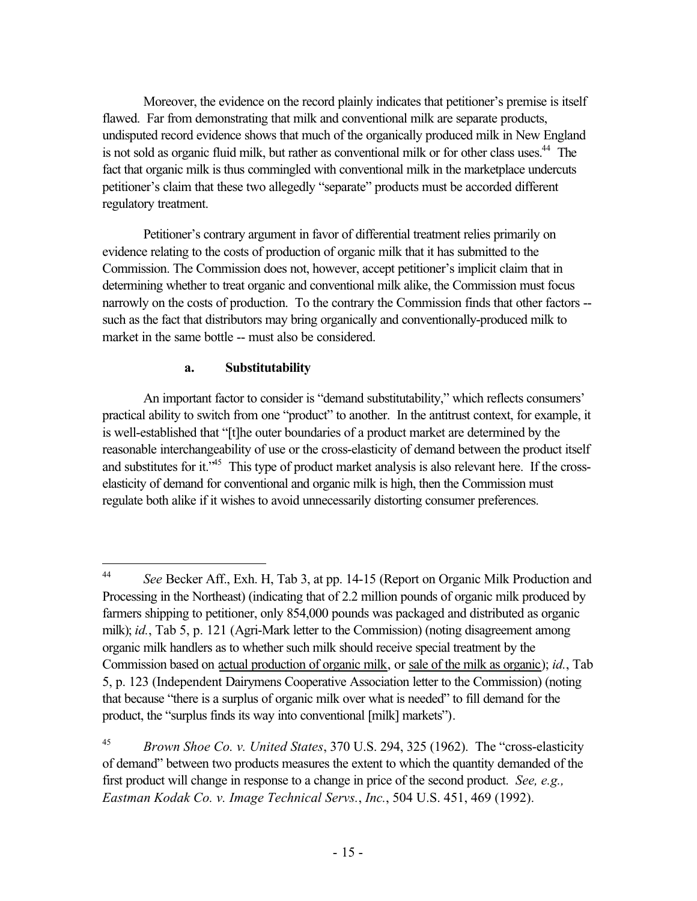Moreover, the evidence on the record plainly indicates that petitioner's premise is itself flawed. Far from demonstrating that milk and conventional milk are separate products, undisputed record evidence shows that much of the organically produced milk in New England is not sold as organic fluid milk, but rather as conventional milk or for other class uses.<sup>44</sup> The fact that organic milk is thus commingled with conventional milk in the marketplace undercuts petitioner's claim that these two allegedly "separate" products must be accorded different regulatory treatment.

Petitioner's contrary argument in favor of differential treatment relies primarily on evidence relating to the costs of production of organic milk that it has submitted to the Commission. The Commission does not, however, accept petitioner's implicit claim that in determining whether to treat organic and conventional milk alike, the Commission must focus narrowly on the costs of production. To the contrary the Commission finds that other factors - such as the fact that distributors may bring organically and conventionally-produced milk to market in the same bottle -- must also be considered.

### **a. Substitutability**

An important factor to consider is "demand substitutability," which reflects consumers' practical ability to switch from one "product" to another. In the antitrust context, for example, it is well-established that "[t]he outer boundaries of a product market are determined by the reasonable interchangeability of use or the cross-elasticity of demand between the product itself and substitutes for it.<sup>45</sup> This type of product market analysis is also relevant here. If the crosselasticity of demand for conventional and organic milk is high, then the Commission must regulate both alike if it wishes to avoid unnecessarily distorting consumer preferences.

 $44 \text{ }$ <sup>44</sup> *See* Becker Aff., Exh. H, Tab 3, at pp. 14-15 (Report on Organic Milk Production and Processing in the Northeast) (indicating that of 2.2 million pounds of organic milk produced by farmers shipping to petitioner, only 854,000 pounds was packaged and distributed as organic milk); *id.*, Tab 5, p. 121 (Agri-Mark letter to the Commission) (noting disagreement among organic milk handlers as to whether such milk should receive special treatment by the Commission based on actual production of organic milk, or sale of the milk as organic); *id.*, Tab 5, p. 123 (Independent Dairymens Cooperative Association letter to the Commission) (noting that because "there is a surplus of organic milk over what is needed" to fill demand for the product, the "surplus finds its way into conventional [milk] markets").

<sup>45</sup> *Brown Shoe Co. v. United States*, 370 U.S. 294, 325 (1962). The "cross-elasticity of demand" between two products measures the extent to which the quantity demanded of the first product will change in response to a change in price of the second product. *See, e.g., Eastman Kodak Co. v. Image Technical Servs.*, *Inc.*, 504 U.S. 451, 469 (1992).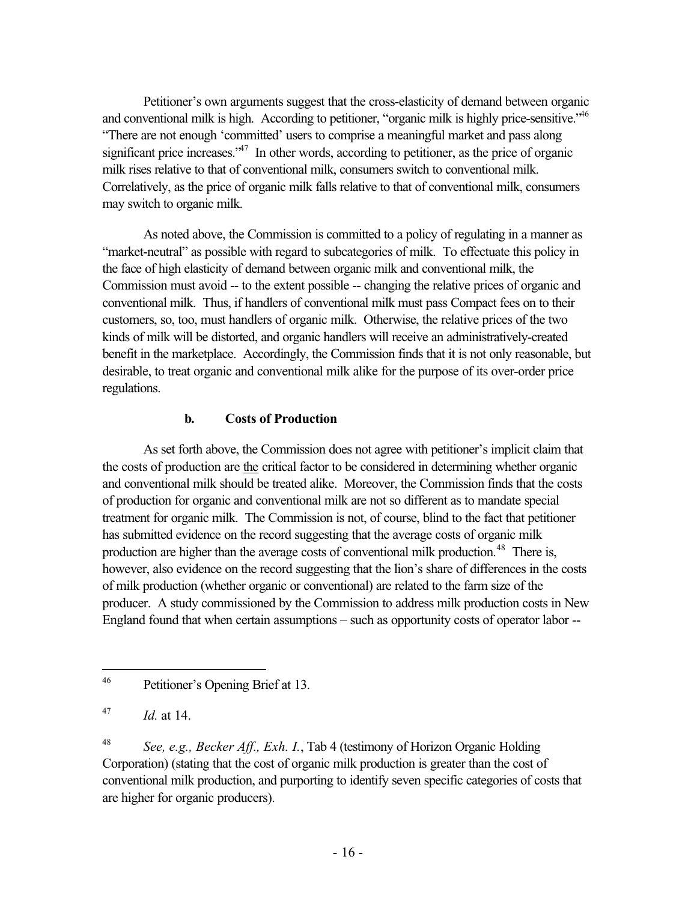Petitioner's own arguments suggest that the cross-elasticity of demand between organic and conventional milk is high. According to petitioner, "organic milk is highly price-sensitive."<sup>46</sup> "There are not enough 'committed' users to comprise a meaningful market and pass along significant price increases.<sup> $347$ </sup> In other words, according to petitioner, as the price of organic milk rises relative to that of conventional milk, consumers switch to conventional milk. Correlatively, as the price of organic milk falls relative to that of conventional milk, consumers may switch to organic milk.

As noted above, the Commission is committed to a policy of regulating in a manner as "market-neutral" as possible with regard to subcategories of milk. To effectuate this policy in the face of high elasticity of demand between organic milk and conventional milk, the Commission must avoid -- to the extent possible -- changing the relative prices of organic and conventional milk. Thus, if handlers of conventional milk must pass Compact fees on to their customers, so, too, must handlers of organic milk. Otherwise, the relative prices of the two kinds of milk will be distorted, and organic handlers will receive an administratively-created benefit in the marketplace. Accordingly, the Commission finds that it is not only reasonable, but desirable, to treat organic and conventional milk alike for the purpose of its over-order price regulations.

### **b. Costs of Production**

As set forth above, the Commission does not agree with petitioner's implicit claim that the costs of production are the critical factor to be considered in determining whether organic and conventional milk should be treated alike. Moreover, the Commission finds that the costs of production for organic and conventional milk are not so different as to mandate special treatment for organic milk. The Commission is not, of course, blind to the fact that petitioner has submitted evidence on the record suggesting that the average costs of organic milk production are higher than the average costs of conventional milk production.<sup>48</sup> There is, however, also evidence on the record suggesting that the lion's share of differences in the costs of milk production (whether organic or conventional) are related to the farm size of the producer. A study commissioned by the Commission to address milk production costs in New England found that when certain assumptions – such as opportunity costs of operator labor --

 $\overline{a}$ 

<sup>46</sup> Petitioner's Opening Brief at 13.

 $^{47}$  *Id.* at 14.

<sup>48</sup> *See, e.g., Becker Aff., Exh. I.*, Tab 4 (testimony of Horizon Organic Holding Corporation) (stating that the cost of organic milk production is greater than the cost of conventional milk production, and purporting to identify seven specific categories of costs that are higher for organic producers).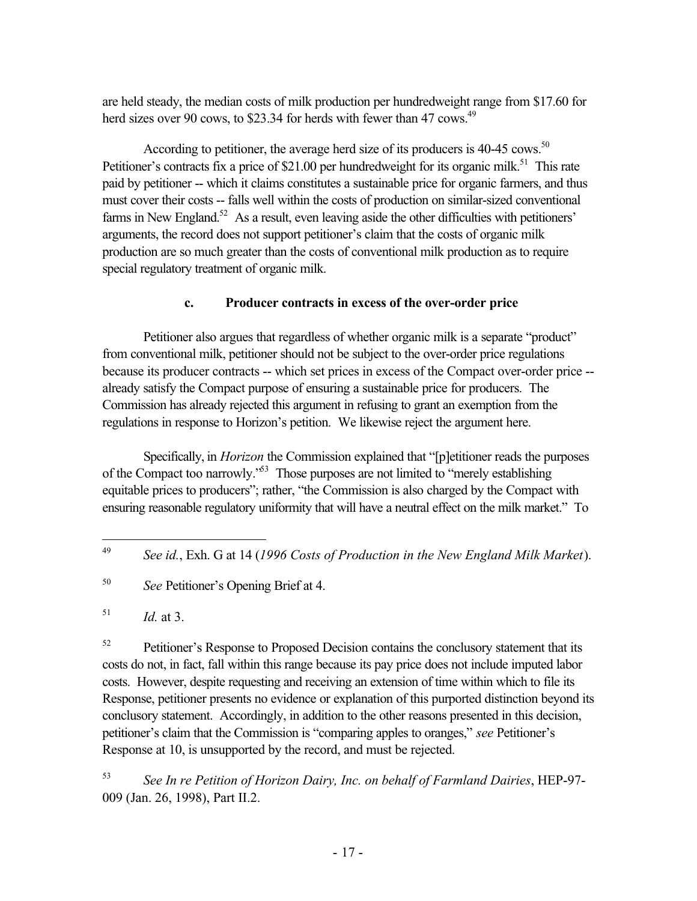are held steady, the median costs of milk production per hundredweight range from \$17.60 for herd sizes over 90 cows, to \$23.34 for herds with fewer than 47 cows.<sup>49</sup>

According to petitioner, the average herd size of its producers is  $40-45$  cows.<sup>50</sup> Petitioner's contracts fix a price of \$21.00 per hundredweight for its organic milk.<sup>51</sup> This rate paid by petitioner -- which it claims constitutes a sustainable price for organic farmers, and thus must cover their costs -- falls well within the costs of production on similar-sized conventional farms in New England.<sup>52</sup> As a result, even leaving aside the other difficulties with petitioners' arguments, the record does not support petitioner's claim that the costs of organic milk production are so much greater than the costs of conventional milk production as to require special regulatory treatment of organic milk.

# **c. Producer contracts in excess of the over-order price**

Petitioner also argues that regardless of whether organic milk is a separate "product" from conventional milk, petitioner should not be subject to the over-order price regulations because its producer contracts -- which set prices in excess of the Compact over-order price - already satisfy the Compact purpose of ensuring a sustainable price for producers. The Commission has already rejected this argument in refusing to grant an exemption from the regulations in response to Horizon's petition. We likewise reject the argument here.

Specifically, in *Horizon* the Commission explained that "[p]etitioner reads the purposes of the Compact too narrowly.<sup>553</sup> Those purposes are not limited to "merely establishing" equitable prices to producers"; rather, "the Commission is also charged by the Compact with ensuring reasonable regulatory uniformity that will have a neutral effect on the milk market." To

 $^{51}$  *Id.* at 3.

<sup>52</sup> Petitioner's Response to Proposed Decision contains the conclusory statement that its costs do not, in fact, fall within this range because its pay price does not include imputed labor costs. However, despite requesting and receiving an extension of time within which to file its Response, petitioner presents no evidence or explanation of this purported distinction beyond its conclusory statement. Accordingly, in addition to the other reasons presented in this decision, petitioner's claim that the Commission is "comparing apples to oranges," *see* Petitioner's Response at 10, is unsupported by the record, and must be rejected.

<sup>53</sup> *See In re Petition of Horizon Dairy, Inc. on behalf of Farmland Dairies*, HEP-97- 009 (Jan. 26, 1998), Part II.2.

<sup>49</sup> <sup>49</sup> *See id.*, Exh. G at 14 (*1996 Costs of Production in the New England Milk Market*).

<sup>50</sup> *See* Petitioner's Opening Brief at 4.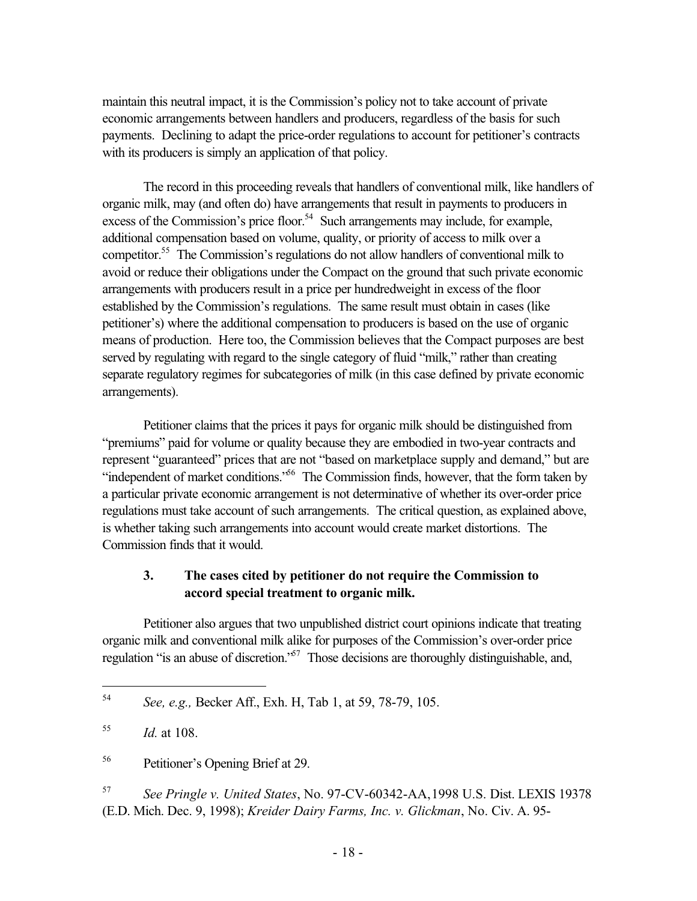maintain this neutral impact, it is the Commission's policy not to take account of private economic arrangements between handlers and producers, regardless of the basis for such payments. Declining to adapt the price-order regulations to account for petitioner's contracts with its producers is simply an application of that policy.

The record in this proceeding reveals that handlers of conventional milk, like handlers of organic milk, may (and often do) have arrangements that result in payments to producers in excess of the Commission's price floor.<sup>54</sup> Such arrangements may include, for example, additional compensation based on volume, quality, or priority of access to milk over a competitor.55 The Commission's regulations do not allow handlers of conventional milk to avoid or reduce their obligations under the Compact on the ground that such private economic arrangements with producers result in a price per hundredweight in excess of the floor established by the Commission's regulations. The same result must obtain in cases (like petitioner's) where the additional compensation to producers is based on the use of organic means of production. Here too, the Commission believes that the Compact purposes are best served by regulating with regard to the single category of fluid "milk," rather than creating separate regulatory regimes for subcategories of milk (in this case defined by private economic arrangements).

Petitioner claims that the prices it pays for organic milk should be distinguished from "premiums" paid for volume or quality because they are embodied in two-year contracts and represent "guaranteed" prices that are not "based on marketplace supply and demand," but are "independent of market conditions."<sup>56</sup> The Commission finds, however, that the form taken by a particular private economic arrangement is not determinative of whether its over-order price regulations must take account of such arrangements. The critical question, as explained above, is whether taking such arrangements into account would create market distortions. The Commission finds that it would.

# **3. The cases cited by petitioner do not require the Commission to accord special treatment to organic milk.**

Petitioner also argues that two unpublished district court opinions indicate that treating organic milk and conventional milk alike for purposes of the Commission's over-order price regulation "is an abuse of discretion."<sup>57</sup> Those decisions are thoroughly distinguishable, and,

 $\overline{a}$ 

<sup>57</sup> *See Pringle v. United States*, No. 97-CV-60342-AA,1998 U.S. Dist. LEXIS 19378 (E.D. Mich. Dec. 9, 1998); *Kreider Dairy Farms, Inc. v. Glickman*, No. Civ. A. 95-

<sup>54</sup> *See, e.g.,* Becker Aff., Exh. H, Tab 1, at 59, 78-79, 105.

<sup>55</sup> *Id.* at 108.

<sup>56</sup> Petitioner's Opening Brief at 29.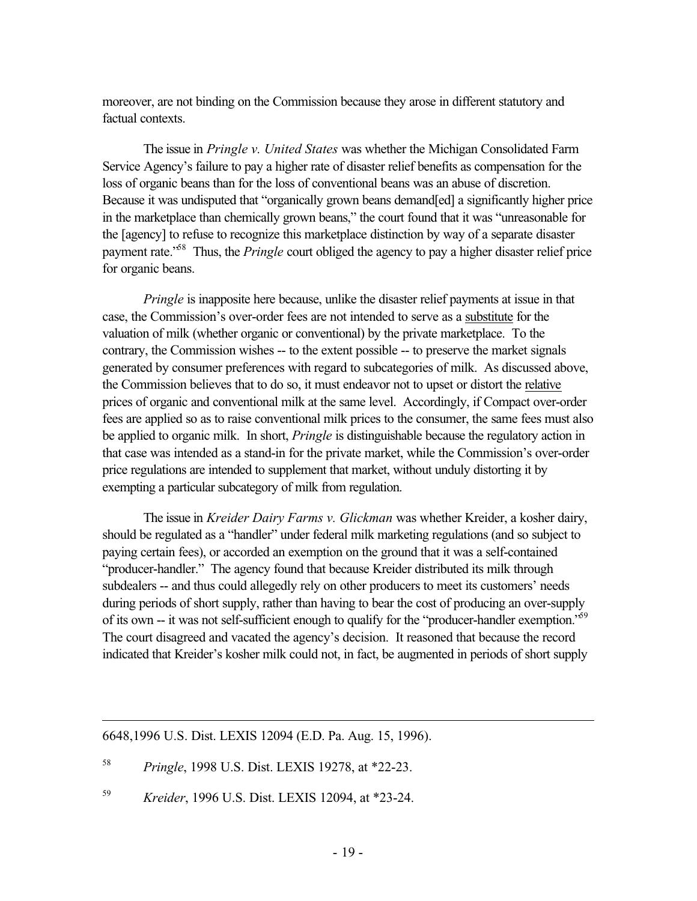moreover, are not binding on the Commission because they arose in different statutory and factual contexts.

The issue in *Pringle v. United States* was whether the Michigan Consolidated Farm Service Agency's failure to pay a higher rate of disaster relief benefits as compensation for the loss of organic beans than for the loss of conventional beans was an abuse of discretion. Because it was undisputed that "organically grown beans demand[ed] a significantly higher price in the marketplace than chemically grown beans," the court found that it was "unreasonable for the [agency] to refuse to recognize this marketplace distinction by way of a separate disaster payment rate.<sup>58</sup> Thus, the *Pringle* court obliged the agency to pay a higher disaster relief price for organic beans.

*Pringle* is inapposite here because, unlike the disaster relief payments at issue in that case, the Commission's over-order fees are not intended to serve as a substitute for the valuation of milk (whether organic or conventional) by the private marketplace. To the contrary, the Commission wishes -- to the extent possible -- to preserve the market signals generated by consumer preferences with regard to subcategories of milk. As discussed above, the Commission believes that to do so, it must endeavor not to upset or distort the relative prices of organic and conventional milk at the same level. Accordingly, if Compact over-order fees are applied so as to raise conventional milk prices to the consumer, the same fees must also be applied to organic milk. In short, *Pringle* is distinguishable because the regulatory action in that case was intended as a stand-in for the private market, while the Commission's over-order price regulations are intended to supplement that market, without unduly distorting it by exempting a particular subcategory of milk from regulation.

The issue in *Kreider Dairy Farms v. Glickman* was whether Kreider, a kosher dairy, should be regulated as a "handler" under federal milk marketing regulations (and so subject to paying certain fees), or accorded an exemption on the ground that it was a self-contained "producer-handler." The agency found that because Kreider distributed its milk through subdealers -- and thus could allegedly rely on other producers to meet its customers' needs during periods of short supply, rather than having to bear the cost of producing an over-supply of its own -- it was not self-sufficient enough to qualify for the "producer-handler exemption."59 The court disagreed and vacated the agency's decision. It reasoned that because the record indicated that Kreider's kosher milk could not, in fact, be augmented in periods of short supply

6648,1996 U.S. Dist. LEXIS 12094 (E.D. Pa. Aug. 15, 1996).

<sup>58</sup> *Pringle*, 1998 U.S. Dist. LEXIS 19278, at \*22-23.

 $\overline{a}$ 

<sup>59</sup> *Kreider*, 1996 U.S. Dist. LEXIS 12094, at \*23-24.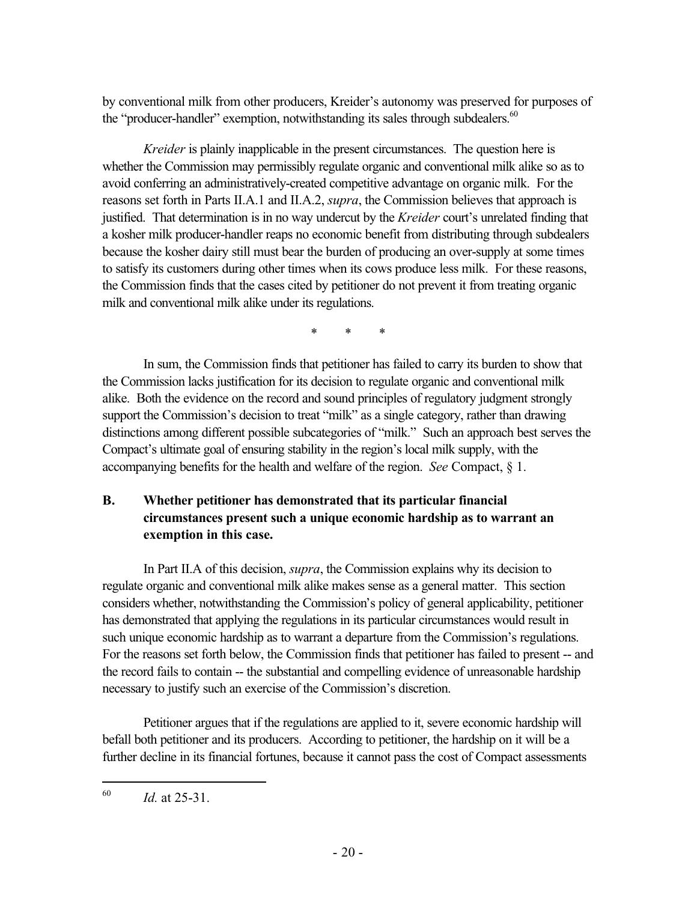by conventional milk from other producers, Kreider's autonomy was preserved for purposes of the "producer-handler" exemption, notwithstanding its sales through subdealers.<sup>60</sup>

*Kreider* is plainly inapplicable in the present circumstances. The question here is whether the Commission may permissibly regulate organic and conventional milk alike so as to avoid conferring an administratively-created competitive advantage on organic milk. For the reasons set forth in Parts II.A.1 and II.A.2, *supra*, the Commission believes that approach is justified. That determination is in no way undercut by the *Kreider* court's unrelated finding that a kosher milk producer-handler reaps no economic benefit from distributing through subdealers because the kosher dairy still must bear the burden of producing an over-supply at some times to satisfy its customers during other times when its cows produce less milk. For these reasons, the Commission finds that the cases cited by petitioner do not prevent it from treating organic milk and conventional milk alike under its regulations.

\* \* \*

In sum, the Commission finds that petitioner has failed to carry its burden to show that the Commission lacks justification for its decision to regulate organic and conventional milk alike. Both the evidence on the record and sound principles of regulatory judgment strongly support the Commission's decision to treat "milk" as a single category, rather than drawing distinctions among different possible subcategories of "milk." Such an approach best serves the Compact's ultimate goal of ensuring stability in the region's local milk supply, with the accompanying benefits for the health and welfare of the region. *See* Compact, § 1.

# **B. Whether petitioner has demonstrated that its particular financial circumstances present such a unique economic hardship as to warrant an exemption in this case.**

In Part II.A of this decision, *supra*, the Commission explains why its decision to regulate organic and conventional milk alike makes sense as a general matter. This section considers whether, notwithstanding the Commission's policy of general applicability, petitioner has demonstrated that applying the regulations in its particular circumstances would result in such unique economic hardship as to warrant a departure from the Commission's regulations. For the reasons set forth below, the Commission finds that petitioner has failed to present -- and the record fails to contain -- the substantial and compelling evidence of unreasonable hardship necessary to justify such an exercise of the Commission's discretion.

Petitioner argues that if the regulations are applied to it, severe economic hardship will befall both petitioner and its producers. According to petitioner, the hardship on it will be a further decline in its financial fortunes, because it cannot pass the cost of Compact assessments

 $\overline{a}$ 

<sup>60</sup> *Id.* at 25-31.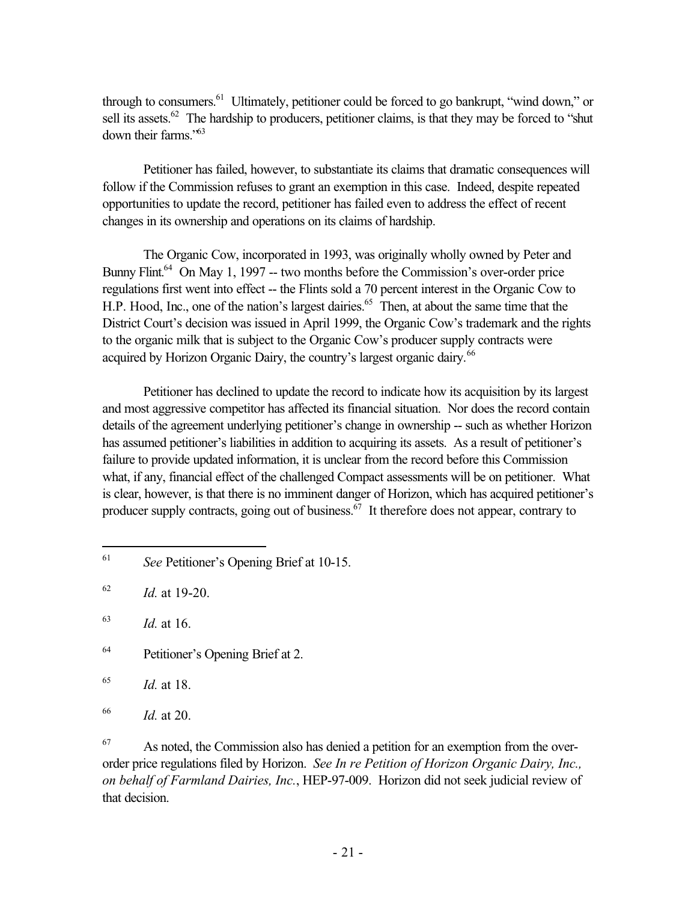through to consumers.<sup>61</sup> Ultimately, petitioner could be forced to go bankrupt, "wind down," or sell its assets.<sup>62</sup> The hardship to producers, petitioner claims, is that they may be forced to "shut" down their farms."63

Petitioner has failed, however, to substantiate its claims that dramatic consequences will follow if the Commission refuses to grant an exemption in this case. Indeed, despite repeated opportunities to update the record, petitioner has failed even to address the effect of recent changes in its ownership and operations on its claims of hardship.

The Organic Cow, incorporated in 1993, was originally wholly owned by Peter and Bunny Flint.<sup>64</sup> On May 1, 1997 -- two months before the Commission's over-order price regulations first went into effect -- the Flints sold a 70 percent interest in the Organic Cow to H.P. Hood, Inc., one of the nation's largest dairies.<sup>65</sup> Then, at about the same time that the District Court's decision was issued in April 1999, the Organic Cow's trademark and the rights to the organic milk that is subject to the Organic Cow's producer supply contracts were acquired by Horizon Organic Dairy, the country's largest organic dairy.<sup>66</sup>

Petitioner has declined to update the record to indicate how its acquisition by its largest and most aggressive competitor has affected its financial situation. Nor does the record contain details of the agreement underlying petitioner's change in ownership -- such as whether Horizon has assumed petitioner's liabilities in addition to acquiring its assets. As a result of petitioner's failure to provide updated information, it is unclear from the record before this Commission what, if any, financial effect of the challenged Compact assessments will be on petitioner. What is clear, however, is that there is no imminent danger of Horizon, which has acquired petitioner's producer supply contracts, going out of business.  $\frac{67}{11}$  It therefore does not appear, contrary to

 $\overline{a}$ 

64 Petitioner's Opening Brief at 2.

 $67$  As noted, the Commission also has denied a petition for an exemption from the overorder price regulations filed by Horizon. *See In re Petition of Horizon Organic Dairy, Inc., on behalf of Farmland Dairies, Inc.*, HEP-97-009. Horizon did not seek judicial review of that decision.

<sup>61</sup> *See* Petitioner's Opening Brief at 10-15.

<sup>62</sup> *Id.* at 19-20.

<sup>63</sup> *Id.* at 16.

<sup>65</sup> *Id.* at 18.

<sup>66</sup> *Id.* at 20.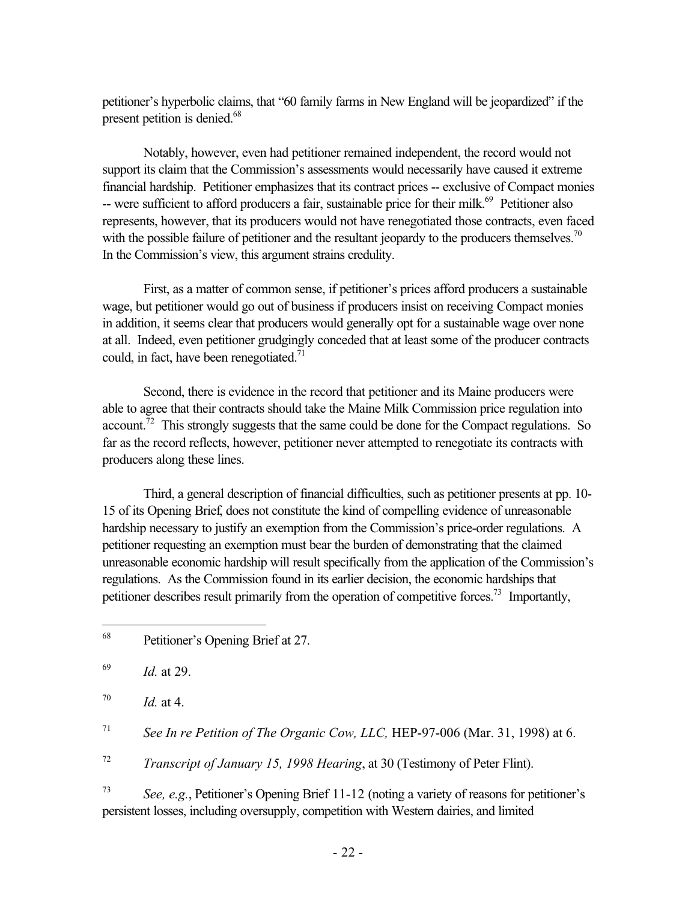petitioner's hyperbolic claims, that "60 family farms in New England will be jeopardized" if the present petition is denied.<sup>68</sup>

Notably, however, even had petitioner remained independent, the record would not support its claim that the Commission's assessments would necessarily have caused it extreme financial hardship. Petitioner emphasizes that its contract prices -- exclusive of Compact monies -- were sufficient to afford producers a fair, sustainable price for their milk.<sup>69</sup> Petitioner also represents, however, that its producers would not have renegotiated those contracts, even faced with the possible failure of petitioner and the resultant jeopardy to the producers themselves.<sup>70</sup> In the Commission's view, this argument strains credulity.

First, as a matter of common sense, if petitioner's prices afford producers a sustainable wage, but petitioner would go out of business if producers insist on receiving Compact monies in addition, it seems clear that producers would generally opt for a sustainable wage over none at all. Indeed, even petitioner grudgingly conceded that at least some of the producer contracts could, in fact, have been renegotiated. $71$ 

Second, there is evidence in the record that petitioner and its Maine producers were able to agree that their contracts should take the Maine Milk Commission price regulation into account.<sup>72</sup> This strongly suggests that the same could be done for the Compact regulations. So far as the record reflects, however, petitioner never attempted to renegotiate its contracts with producers along these lines.

Third, a general description of financial difficulties, such as petitioner presents at pp. 10- 15 of its Opening Brief, does not constitute the kind of compelling evidence of unreasonable hardship necessary to justify an exemption from the Commission's price-order regulations. A petitioner requesting an exemption must bear the burden of demonstrating that the claimed unreasonable economic hardship will result specifically from the application of the Commission's regulations. As the Commission found in its earlier decision, the economic hardships that petitioner describes result primarily from the operation of competitive forces.<sup>73</sup> Importantly,

<sup>72</sup> *Transcript of January 15, 1998 Hearing*, at 30 (Testimony of Peter Flint).

<sup>73</sup> *See, e.g.*, Petitioner's Opening Brief 11-12 (noting a variety of reasons for petitioner's persistent losses, including oversupply, competition with Western dairies, and limited

 $\overline{a}$ 68 Petitioner's Opening Brief at 27.

<sup>69</sup> *Id.* at 29.

 $^{70}$  *Id.* at 4.

<sup>71</sup> *See In re Petition of The Organic Cow, LLC,* HEP-97-006 (Mar. 31, 1998) at 6.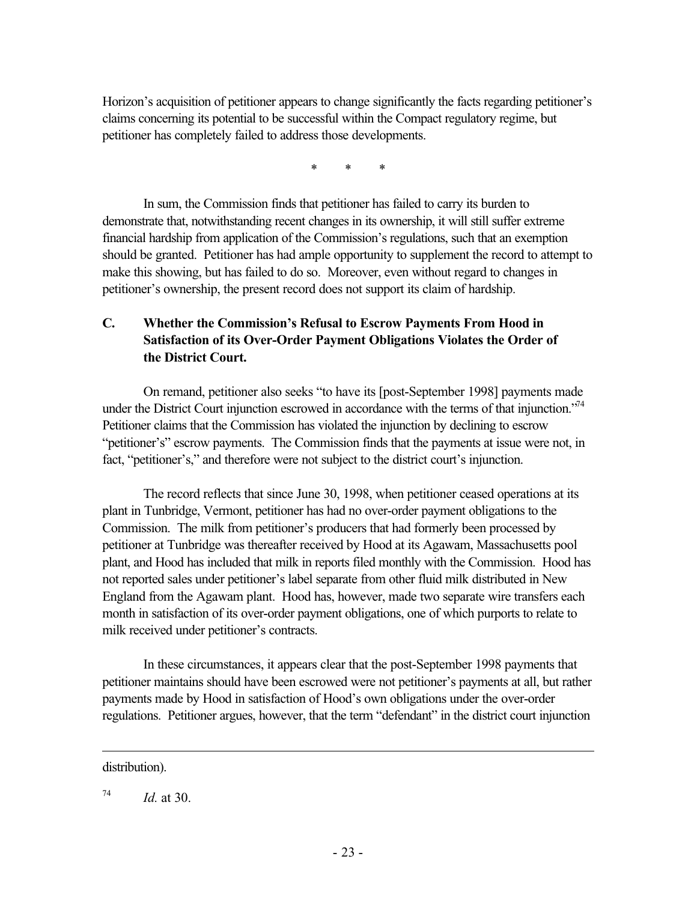Horizon's acquisition of petitioner appears to change significantly the facts regarding petitioner's claims concerning its potential to be successful within the Compact regulatory regime, but petitioner has completely failed to address those developments.

\* \* \*

In sum, the Commission finds that petitioner has failed to carry its burden to demonstrate that, notwithstanding recent changes in its ownership, it will still suffer extreme financial hardship from application of the Commission's regulations, such that an exemption should be granted. Petitioner has had ample opportunity to supplement the record to attempt to make this showing, but has failed to do so. Moreover, even without regard to changes in petitioner's ownership, the present record does not support its claim of hardship.

# **C. Whether the Commission's Refusal to Escrow Payments From Hood in Satisfaction of its Over-Order Payment Obligations Violates the Order of the District Court.**

On remand, petitioner also seeks "to have its [post-September 1998] payments made under the District Court injunction escrowed in accordance with the terms of that injunction."<sup>74</sup> Petitioner claims that the Commission has violated the injunction by declining to escrow "petitioner's" escrow payments. The Commission finds that the payments at issue were not, in fact, "petitioner's," and therefore were not subject to the district court's injunction.

The record reflects that since June 30, 1998, when petitioner ceased operations at its plant in Tunbridge, Vermont, petitioner has had no over-order payment obligations to the Commission. The milk from petitioner's producers that had formerly been processed by petitioner at Tunbridge was thereafter received by Hood at its Agawam, Massachusetts pool plant, and Hood has included that milk in reports filed monthly with the Commission. Hood has not reported sales under petitioner's label separate from other fluid milk distributed in New England from the Agawam plant. Hood has, however, made two separate wire transfers each month in satisfaction of its over-order payment obligations, one of which purports to relate to milk received under petitioner's contracts.

In these circumstances, it appears clear that the post-September 1998 payments that petitioner maintains should have been escrowed were not petitioner's payments at all, but rather payments made by Hood in satisfaction of Hood's own obligations under the over-order regulations. Petitioner argues, however, that the term "defendant" in the district court injunction

distribution).

 $\overline{a}$ 

 $^{74}$  *Id.* at 30.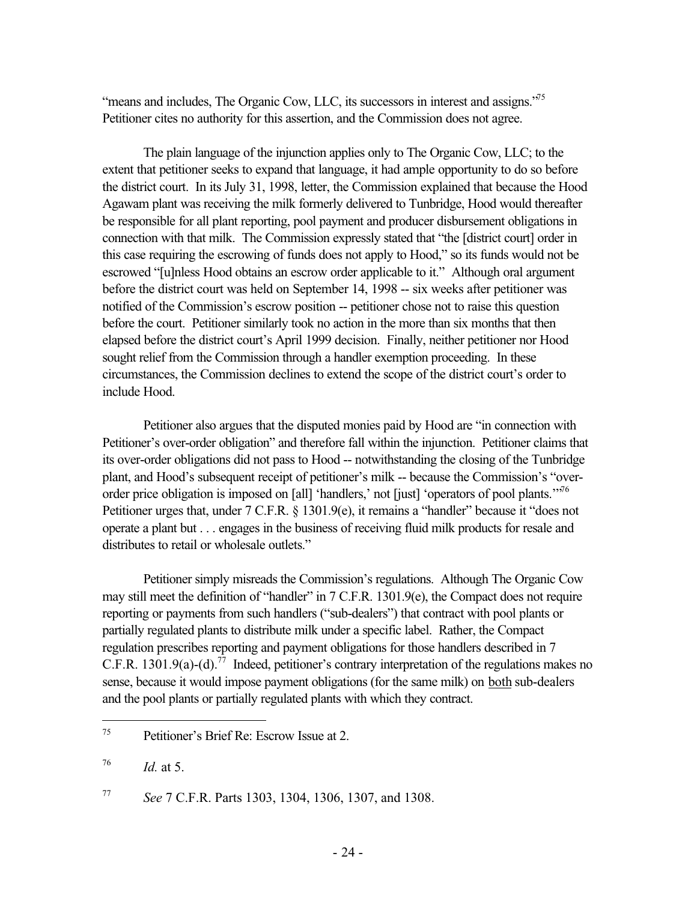"means and includes. The Organic Cow, LLC, its successors in interest and assigns. $^{75}$ Petitioner cites no authority for this assertion, and the Commission does not agree.

The plain language of the injunction applies only to The Organic Cow, LLC; to the extent that petitioner seeks to expand that language, it had ample opportunity to do so before the district court. In its July 31, 1998, letter, the Commission explained that because the Hood Agawam plant was receiving the milk formerly delivered to Tunbridge, Hood would thereafter be responsible for all plant reporting, pool payment and producer disbursement obligations in connection with that milk. The Commission expressly stated that "the [district court] order in this case requiring the escrowing of funds does not apply to Hood," so its funds would not be escrowed "[u]nless Hood obtains an escrow order applicable to it." Although oral argument before the district court was held on September 14, 1998 -- six weeks after petitioner was notified of the Commission's escrow position -- petitioner chose not to raise this question before the court. Petitioner similarly took no action in the more than six months that then elapsed before the district court's April 1999 decision. Finally, neither petitioner nor Hood sought relief from the Commission through a handler exemption proceeding. In these circumstances, the Commission declines to extend the scope of the district court's order to include Hood.

Petitioner also argues that the disputed monies paid by Hood are "in connection with Petitioner's over-order obligation" and therefore fall within the injunction. Petitioner claims that its over-order obligations did not pass to Hood -- notwithstanding the closing of the Tunbridge plant, and Hood's subsequent receipt of petitioner's milk -- because the Commission's "overorder price obligation is imposed on [all] 'handlers,' not [just] 'operators of pool plants.'"<sup>76</sup> Petitioner urges that, under 7 C.F.R. § 1301.9(e), it remains a "handler" because it "does not operate a plant but . . . engages in the business of receiving fluid milk products for resale and distributes to retail or wholesale outlets."

Petitioner simply misreads the Commission's regulations. Although The Organic Cow may still meet the definition of "handler" in 7 C.F.R. 1301.9(e), the Compact does not require reporting or payments from such handlers ("sub-dealers") that contract with pool plants or partially regulated plants to distribute milk under a specific label. Rather, the Compact regulation prescribes reporting and payment obligations for those handlers described in 7 C.F.R. 1301.9(a)-(d).<sup>77</sup> Indeed, petitioner's contrary interpretation of the regulations makes no sense, because it would impose payment obligations (for the same milk) on both sub-dealers and the pool plants or partially regulated plants with which they contract.

<sup>75</sup> Petitioner's Brief Re: Escrow Issue at 2.

 $^{76}$  *Id.* at 5.

<sup>77</sup> *See* 7 C.F.R. Parts 1303, 1304, 1306, 1307, and 1308.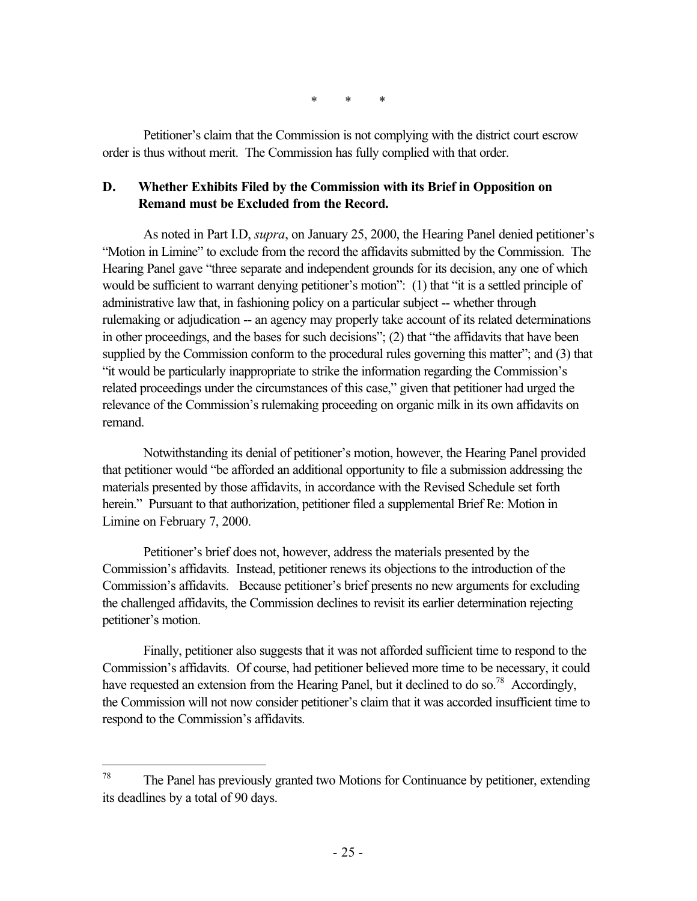\* \* \*

Petitioner's claim that the Commission is not complying with the district court escrow order is thus without merit. The Commission has fully complied with that order.

### **D. Whether Exhibits Filed by the Commission with its Brief in Opposition on Remand must be Excluded from the Record.**

As noted in Part I.D, *supra*, on January 25, 2000, the Hearing Panel denied petitioner's "Motion in Limine" to exclude from the record the affidavits submitted by the Commission. The Hearing Panel gave "three separate and independent grounds for its decision, any one of which would be sufficient to warrant denying petitioner's motion": (1) that "it is a settled principle of administrative law that, in fashioning policy on a particular subject -- whether through rulemaking or adjudication -- an agency may properly take account of its related determinations in other proceedings, and the bases for such decisions"; (2) that "the affidavits that have been supplied by the Commission conform to the procedural rules governing this matter"; and (3) that "it would be particularly inappropriate to strike the information regarding the Commission's related proceedings under the circumstances of this case," given that petitioner had urged the relevance of the Commission's rulemaking proceeding on organic milk in its own affidavits on remand.

Notwithstanding its denial of petitioner's motion, however, the Hearing Panel provided that petitioner would "be afforded an additional opportunity to file a submission addressing the materials presented by those affidavits, in accordance with the Revised Schedule set forth herein." Pursuant to that authorization, petitioner filed a supplemental Brief Re: Motion in Limine on February 7, 2000.

Petitioner's brief does not, however, address the materials presented by the Commission's affidavits. Instead, petitioner renews its objections to the introduction of the Commission's affidavits. Because petitioner's brief presents no new arguments for excluding the challenged affidavits, the Commission declines to revisit its earlier determination rejecting petitioner's motion.

Finally, petitioner also suggests that it was not afforded sufficient time to respond to the Commission's affidavits. Of course, had petitioner believed more time to be necessary, it could have requested an extension from the Hearing Panel, but it declined to do so.<sup>78</sup> Accordingly, the Commission will not now consider petitioner's claim that it was accorded insufficient time to respond to the Commission's affidavits.

<sup>78</sup> The Panel has previously granted two Motions for Continuance by petitioner, extending its deadlines by a total of 90 days.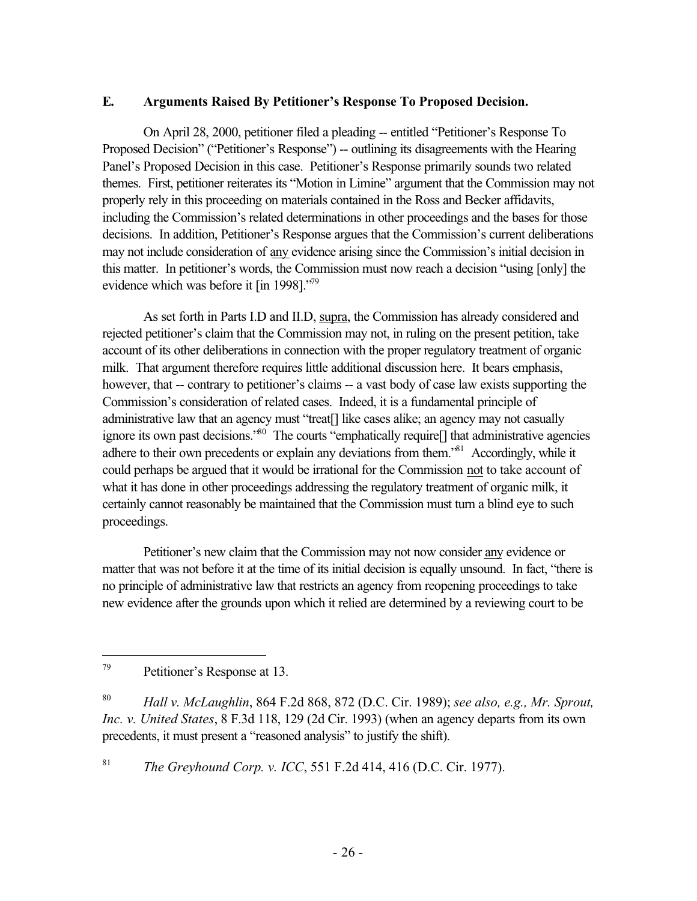### **E. Arguments Raised By Petitioner's Response To Proposed Decision.**

On April 28, 2000, petitioner filed a pleading -- entitled "Petitioner's Response To Proposed Decision" ("Petitioner's Response") -- outlining its disagreements with the Hearing Panel's Proposed Decision in this case. Petitioner's Response primarily sounds two related themes. First, petitioner reiterates its "Motion in Limine" argument that the Commission may not properly rely in this proceeding on materials contained in the Ross and Becker affidavits, including the Commission's related determinations in other proceedings and the bases for those decisions. In addition, Petitioner's Response argues that the Commission's current deliberations may not include consideration of any evidence arising since the Commission's initial decision in this matter. In petitioner's words, the Commission must now reach a decision "using [only] the evidence which was before it [in 1998]."<sup>79</sup>

As set forth in Parts I.D and II.D, supra, the Commission has already considered and rejected petitioner's claim that the Commission may not, in ruling on the present petition, take account of its other deliberations in connection with the proper regulatory treatment of organic milk. That argument therefore requires little additional discussion here. It bears emphasis, however, that -- contrary to petitioner's claims -- a vast body of case law exists supporting the Commission's consideration of related cases. Indeed, it is a fundamental principle of administrative law that an agency must "treat[] like cases alike; an agency may not casually ignore its own past decisions."80 The courts "emphatically require[] that administrative agencies adhere to their own precedents or explain any deviations from them.<sup>81</sup> Accordingly, while it could perhaps be argued that it would be irrational for the Commission not to take account of what it has done in other proceedings addressing the regulatory treatment of organic milk, it certainly cannot reasonably be maintained that the Commission must turn a blind eye to such proceedings.

Petitioner's new claim that the Commission may not now consider any evidence or matter that was not before it at the time of its initial decision is equally unsound. In fact, "there is no principle of administrative law that restricts an agency from reopening proceedings to take new evidence after the grounds upon which it relied are determined by a reviewing court to be

 $\overline{a}$ 

<sup>81</sup> *The Greyhound Corp. v. ICC*, 551 F.2d 414, 416 (D.C. Cir. 1977).

<sup>79</sup> Petitioner's Response at 13.

<sup>80</sup> *Hall v. McLaughlin*, 864 F.2d 868, 872 (D.C. Cir. 1989); *see also, e.g., Mr. Sprout, Inc. v. United States*, 8 F.3d 118, 129 (2d Cir. 1993) (when an agency departs from its own precedents, it must present a "reasoned analysis" to justify the shift).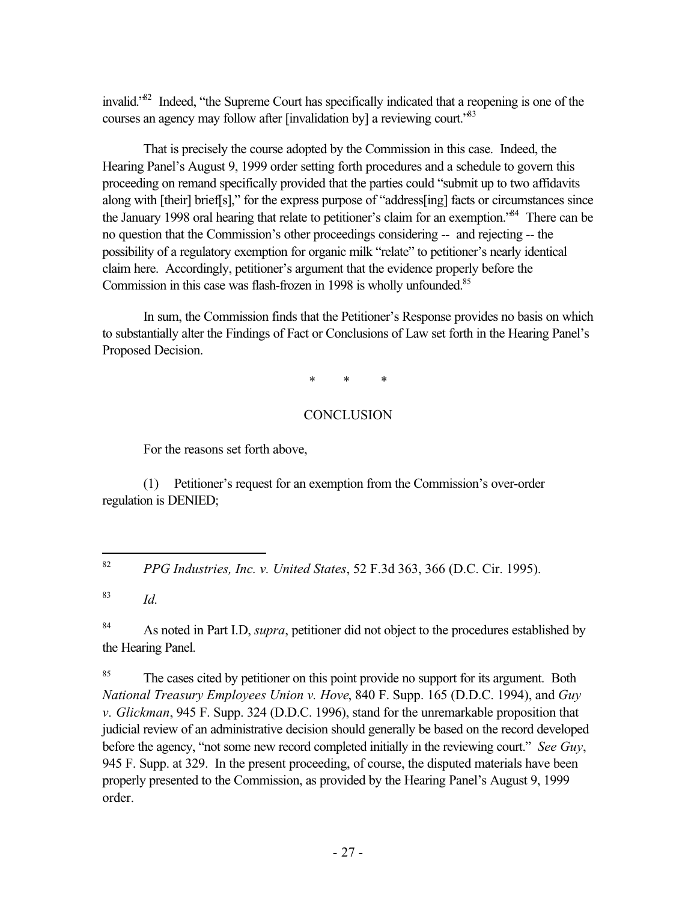invalid.<sup>82</sup> Indeed, "the Supreme Court has specifically indicated that a reopening is one of the courses an agency may follow after [invalidation by] a reviewing court.<sup>83</sup>

That is precisely the course adopted by the Commission in this case. Indeed, the Hearing Panel's August 9, 1999 order setting forth procedures and a schedule to govern this proceeding on remand specifically provided that the parties could "submit up to two affidavits along with [their] brief[s]," for the express purpose of "address[ing] facts or circumstances since the January 1998 oral hearing that relate to petitioner's claim for an exemption.<sup>84</sup> There can be no question that the Commission's other proceedings considering -- and rejecting -- the possibility of a regulatory exemption for organic milk "relate" to petitioner's nearly identical claim here. Accordingly, petitioner's argument that the evidence properly before the Commission in this case was flash-frozen in 1998 is wholly unfounded.<sup>85</sup>

In sum, the Commission finds that the Petitioner's Response provides no basis on which to substantially alter the Findings of Fact or Conclusions of Law set forth in the Hearing Panel's Proposed Decision.

\* \* \*

## **CONCLUSION**

For the reasons set forth above,

(1) Petitioner's request for an exemption from the Commission's over-order regulation is DENIED;

<sup>83</sup> *Id.*

84 As noted in Part I.D, *supra*, petitioner did not object to the procedures established by the Hearing Panel.

<sup>85</sup> The cases cited by petitioner on this point provide no support for its argument. Both *National Treasury Employees Union v. Hove*, 840 F. Supp. 165 (D.D.C. 1994), and *Guy v. Glickman*, 945 F. Supp. 324 (D.D.C. 1996), stand for the unremarkable proposition that judicial review of an administrative decision should generally be based on the record developed before the agency, "not some new record completed initially in the reviewing court." *See Guy*, 945 F. Supp. at 329. In the present proceeding, of course, the disputed materials have been properly presented to the Commission, as provided by the Hearing Panel's August 9, 1999 order.

<sup>82</sup> <sup>82</sup> *PPG Industries, Inc. v. United States*, 52 F.3d 363, 366 (D.C. Cir. 1995).